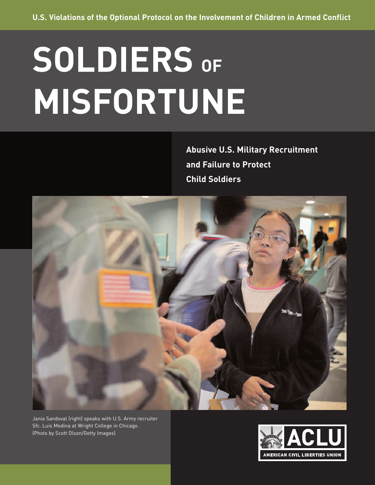# **SOLDIERS OF MISFORTUNE**

**Abusive U.S. Military Recruitment and Failure to Protect Child Soldiers**



Jania Sandoval (right) speaks with U.S. Army recruiter Sfc. Luis Medina at Wright College in Chicago. (Photo by Scott Olson/Getty Images)

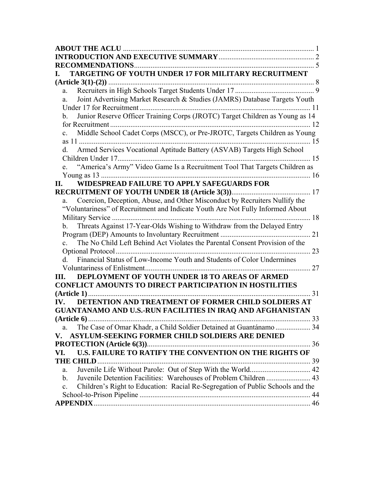| TARGETING OF YOUTH UNDER 17 FOR MILITARY RECRUITMENT                                             |    |
|--------------------------------------------------------------------------------------------------|----|
|                                                                                                  |    |
| a.                                                                                               |    |
| Joint Advertising Market Research & Studies (JAMRS) Database Targets Youth<br>a.                 |    |
|                                                                                                  |    |
| Junior Reserve Officer Training Corps (JROTC) Target Children as Young as 14<br>b.               |    |
|                                                                                                  |    |
| Middle School Cadet Corps (MSCC), or Pre-JROTC, Targets Children as Young<br>$c_{\cdot}$         |    |
|                                                                                                  |    |
| d. Armed Services Vocational Aptitude Battery (ASVAB) Targets High School                        |    |
|                                                                                                  |    |
| "America's Army" Video Game Is a Recruitment Tool That Targets Children as<br>$e_{-}$            |    |
|                                                                                                  |    |
| WIDESPREAD FAILURE TO APPLY SAFEGUARDS FOR<br>II.                                                |    |
|                                                                                                  |    |
| a. Coercion, Deception, Abuse, and Other Misconduct by Recruiters Nullify the                    |    |
| "Voluntariness" of Recruitment and Indicate Youth Are Not Fully Informed About                   |    |
|                                                                                                  |    |
| Threats Against 17-Year-Olds Wishing to Withdraw from the Delayed Entry<br>b.                    |    |
|                                                                                                  |    |
| The No Child Left Behind Act Violates the Parental Consent Provision of the<br>$\mathbf{c}$ .    |    |
|                                                                                                  |    |
| d. Financial Status of Low-Income Youth and Students of Color Undermines                         |    |
|                                                                                                  | 27 |
| DEPLOYMENT OF YOUTH UNDER 18 TO AREAS OF ARMED<br>Ш.                                             |    |
| <b>CONFLICT AMOUNTS TO DIRECT PARTICIPATION IN HOSTILITIES</b>                                   |    |
|                                                                                                  |    |
| DETENTION AND TREATMENT OF FORMER CHILD SOLDIERS AT<br>$\mathbf{IV}_{\text{-}}$                  |    |
| <b>GUANTANAMO AND U.S.-RUN FACILITIES IN IRAQ AND AFGHANISTAN</b>                                |    |
|                                                                                                  |    |
| a.                                                                                               |    |
| <b>ASYLUM-SEEKING FORMER CHILD SOLDIERS ARE DENIED</b><br>V.                                     |    |
|                                                                                                  |    |
| U.S. FAILURE TO RATIFY THE CONVENTION ON THE RIGHTS OF<br>VI.                                    |    |
| <b>THE CHILD.</b>                                                                                |    |
| a.                                                                                               |    |
| $\mathbf{b}$ .                                                                                   |    |
| Children's Right to Education: Racial Re-Segregation of Public Schools and the<br>$\mathbf{c}$ . |    |
|                                                                                                  |    |
|                                                                                                  |    |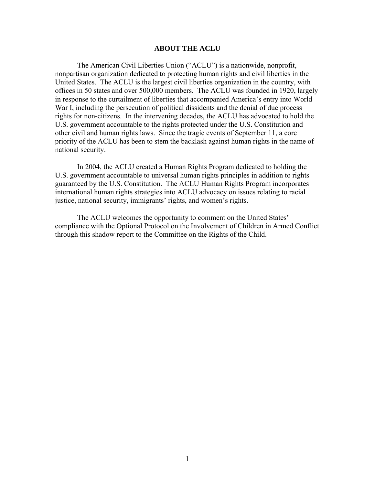#### **ABOUT THE ACLU**

<span id="page-2-0"></span>The American Civil Liberties Union ("ACLU") is a nationwide, nonprofit, nonpartisan organization dedicated to protecting human rights and civil liberties in the United States. The ACLU is the largest civil liberties organization in the country, with offices in 50 states and over 500,000 members. The ACLU was founded in 1920, largely in response to the curtailment of liberties that accompanied America's entry into World War I, including the persecution of political dissidents and the denial of due process rights for non-citizens. In the intervening decades, the ACLU has advocated to hold the U.S. government accountable to the rights protected under the U.S. Constitution and other civil and human rights laws. Since the tragic events of September 11, a core priority of the ACLU has been to stem the backlash against human rights in the name of national security.

In 2004, the ACLU created a Human Rights Program dedicated to holding the U.S. government accountable to universal human rights principles in addition to rights guaranteed by the U.S. Constitution. The ACLU Human Rights Program incorporates international human rights strategies into ACLU advocacy on issues relating to racial justice, national security, immigrants' rights, and women's rights.

The ACLU welcomes the opportunity to comment on the United States' compliance with the Optional Protocol on the Involvement of Children in Armed Conflict through this shadow report to the Committee on the Rights of the Child.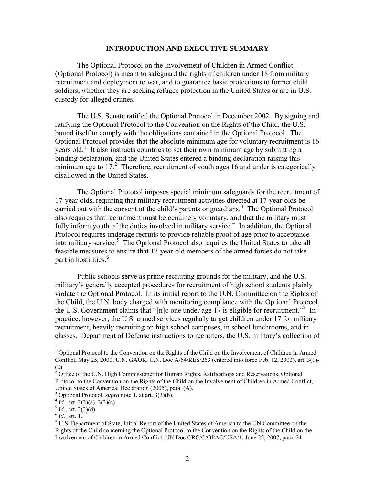#### **INTRODUCTION AND EXECUTIVE SUMMARY**

<span id="page-3-0"></span>The Optional Protocol on the Involvement of Children in Armed Conflict (Optional Protocol) is meant to safeguard the rights of children under 18 from military recruitment and deployment to war, and to guarantee basic protections to former child soldiers, whether they are seeking refugee protection in the United States or are in U.S. custody for alleged crimes.

The U.S. Senate ratified the Optional Protocol in December 2002. By signing and ratifying the Optional Protocol to the Convention on the Rights of the Child, the U.S. bound itself to comply with the obligations contained in the Optional Protocol. The Optional Protocol provides that the absolute minimum age for voluntary recruitment is 16 years old.<sup>[1](#page-3-1)</sup> It also instructs countries to set their own minimum age by submitting a binding declaration, and the United States entered a binding declaration raising this minimum age to  $17<sup>2</sup>$  $17<sup>2</sup>$  $17<sup>2</sup>$  Therefore, recruitment of youth ages 16 and under is categorically disallowed in the United States.

The Optional Protocol imposes special minimum safeguards for the recruitment of 17-year-olds, requiring that military recruitment activities directed at 17-year-olds be carried out with the consent of the child's parents or guardians.<sup>[3](#page-3-3)</sup> The Optional Protocol also requires that recruitment must be genuinely voluntary, and that the military must fully inform youth of the duties involved in military service.<sup>[4](#page-3-4)</sup> In addition, the Optional Protocol requires underage recruits to provide reliable proof of age prior to acceptance into military service.<sup>[5](#page-3-5)</sup> The Optional Protocol also requires the United States to take all feasible measures to ensure that 17-year-old members of the armed forces do not take part in hostilities.<sup>[6](#page-3-6)</sup>

Public schools serve as prime recruiting grounds for the military, and the U.S. military's generally accepted procedures for recruitment of high school students plainly violate the Optional Protocol. In its initial report to the U.N. Committee on the Rights of the Child, the U.N. body charged with monitoring compliance with the Optional Protocol, the U.S. Government claims that "[n]o one under age 1[7](#page-3-7) is eligible for recruitment."<sup>7</sup> In practice, however, the U.S. armed services regularly target children under 17 for military recruitment, heavily recruiting on high school campuses, in school lunchrooms, and in classes. Department of Defense instructions to recruiters, the U.S. military's collection of

<span id="page-3-1"></span><sup>&</sup>lt;sup>1</sup> Optional Protocol to the Convention on the Rights of the Child on the Involvement of Children in Armed Conflict, May 25, 2000, U.N. GAOR, U.N. Doc A/54/RES/263 (entered into force Feb. 12, 2002), art. 3(1)- (2).<br><sup>2</sup> Office of the U.N. High Commissioner for Human Rights, Ratifications and Reservations, Optional

<span id="page-3-2"></span>Protocol to the Convention on the Rights of the Child on the Involvement of Children in Armed Conflict, United States of America, Declaration (2005), para. (A).

<span id="page-3-3"></span><sup>&</sup>lt;sup>3</sup> Optional Protocol, *supra* note 1, at art. 3(3)(b).<br>
<sup>4</sup> *Id.*, art. 3(3)(a), 3(3)(c).<br>
<sup>5</sup> *Id.*, art. 1. 9(3)(d).<br>
<sup>6</sup> *Id.*, art. 1. 7. 1. 8 *nortment of State*, *Initial Benet of the l* 

<span id="page-3-4"></span>

<span id="page-3-6"></span><span id="page-3-5"></span>

<span id="page-3-7"></span> $17$  U.S. Department of State, Initial Report of the United States of America to the UN Committee on the Rights of the Child concerning the Optional Protocol to the Convention on the Rights of the Child on the Involvement of Children in Armed Conflict, UN Doc CRC/C/OPAC/USA/1, June 22, 2007, para. 21.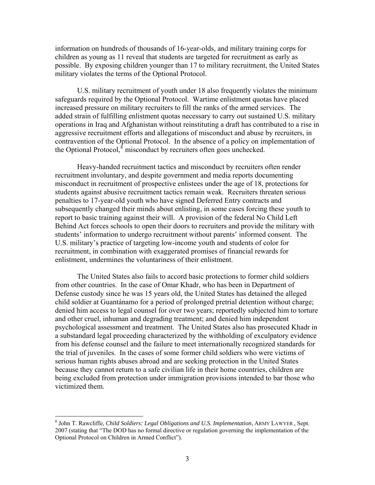information on hundreds of thousands of 16-year-olds, and military training corps for children as young as 11 reveal that students are targeted for recruitment as early as possible. By exposing children younger than 17 to military recruitment, the United States military violates the terms of the Optional Protocol.

U.S. military recruitment of youth under 18 also frequently violates the minimum safeguards required by the Optional Protocol. Wartime enlistment quotas have placed increased pressure on military recruiters to fill the ranks of the armed services. The added strain of fulfilling enlistment quotas necessary to carry out sustained U.S. military operations in Iraq and Afghanistan without reinstituting a draft has contributed to a rise in aggressive recruitment efforts and allegations of misconduct and abuse by recruiters, in contravention of the Optional Protocol. In the absence of a policy on implementation of the Optional Protocol, $\delta$  misconduct by recruiters often goes unchecked.

Heavy-handed recruitment tactics and misconduct by recruiters often render recruitment involuntary, and despite government and media reports documenting misconduct in recruitment of prospective enlistees under the age of 18, protections for students against abusive recruitment tactics remain weak. Recruiters threaten serious penalties to 17-year-old youth who have signed Deferred Entry contracts and subsequently changed their minds about enlisting, in some cases forcing these youth to report to basic training against their will. A provision of the federal No Child Left Behind Act forces schools to open their doors to recruiters and provide the military with students' information to undergo recruitment without parents' informed consent. The U.S. military's practice of targeting low-income youth and students of color for recruitment, in combination with exaggerated promises of financial rewards for enlistment, undermines the voluntariness of their enlistment.

The United States also fails to accord basic protections to former child soldiers from other countries. In the case of Omar Khadr, who has been in Department of Defense custody since he was 15 years old, the United States has detained the alleged child soldier at Guantánamo for a period of prolonged pretrial detention without charge; denied him access to legal counsel for over two years; reportedly subjected him to torture and other cruel, inhuman and degrading treatment; and denied him independent psychological assessment and treatment. The United States also has prosecuted Khadr in a substandard legal proceeding characterized by the withholding of exculpatory evidence from his defense counsel and the failure to meet internationally recognized standards for the trial of juveniles. In the cases of some former child soldiers who were victims of serious human rights abuses abroad and are seeking protection in the United States because they cannot return to a safe civilian life in their home countries, children are being excluded from protection under immigration provisions intended to bar those who victimized them.

<span id="page-4-0"></span><sup>8</sup> John T. Rawcliffe, *Child Soldiers: Legal Obligations and U.S. Implementation*, ARMY LAWYER , Sept. 2007 (stating that "The DOD has no formal directive or regulation governing the implementation of the Optional Protocol on Children in Armed Conflict").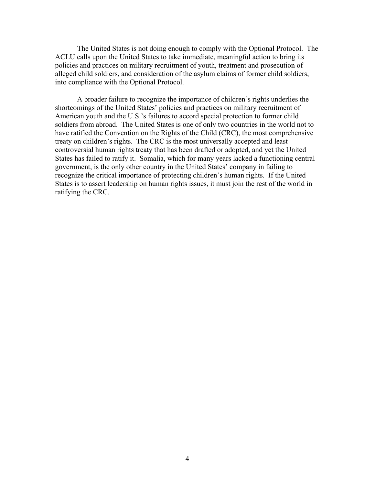The United States is not doing enough to comply with the Optional Protocol. The ACLU calls upon the United States to take immediate, meaningful action to bring its policies and practices on military recruitment of youth, treatment and prosecution of alleged child soldiers, and consideration of the asylum claims of former child soldiers, into compliance with the Optional Protocol.

A broader failure to recognize the importance of children's rights underlies the shortcomings of the United States' policies and practices on military recruitment of American youth and the U.S.'s failures to accord special protection to former child soldiers from abroad. The United States is one of only two countries in the world not to have ratified the Convention on the Rights of the Child (CRC), the most comprehensive treaty on children's rights. The CRC is the most universally accepted and least controversial human rights treaty that has been drafted or adopted, and yet the United States has failed to ratify it. Somalia, which for many years lacked a functioning central government, is the only other country in the United States' company in failing to recognize the critical importance of protecting children's human rights. If the United States is to assert leadership on human rights issues, it must join the rest of the world in ratifying the CRC.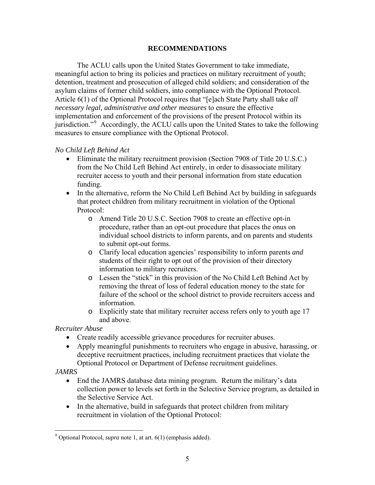#### **RECOMMENDATIONS**

<span id="page-6-0"></span>The ACLU calls upon the United States Government to take immediate, meaningful action to bring its policies and practices on military recruitment of youth; detention, treatment and prosecution of alleged child soldiers; and consideration of the asylum claims of former child soldiers, into compliance with the Optional Protocol. Article 6(1) of the Optional Protocol requires that "[e]ach State Party shall take *all necessary legal, administrative and other measures* to ensure the effective implementation and enforcement of the provisions of the present Protocol within its jurisdiction."<sup>[9](#page-6-1)</sup> Accordingly, the ACLU calls upon the United States to take the following measures to ensure compliance with the Optional Protocol.

#### *No Child Left Behind Act*

- Eliminate the military recruitment provision (Section 7908 of Title 20 U.S.C.) from the No Child Left Behind Act entirely, in order to disassociate military recruiter access to youth and their personal information from state education funding.
- In the alternative, reform the No Child Left Behind Act by building in safeguards that protect children from military recruitment in violation of the Optional Protocol:
	- o Amend Title 20 U.S.C. Section 7908 to create an effective opt-in procedure, rather than an opt-out procedure that places the onus on individual school districts to inform parents, and on parents and students to submit opt-out forms.
	- o Clarify local education agencies' responsibility to inform parents *and*  students of their right to opt out of the provision of their directory information to military recruiters.
	- o Lessen the "stick" in this provision of the No Child Left Behind Act by removing the threat of loss of federal education money to the state for failure of the school or the school district to provide recruiters access and information.
	- o Explicitly state that military recruiter access refers only to youth age 17 and above.

*Recruiter Abuse* 

- Create readily accessible grievance procedures for recruiter abuses.
- Apply meaningful punishments to recruiters who engage in abusive, harassing, or deceptive recruitment practices, including recruitment practices that violate the Optional Protocol or Department of Defense recruitment guidelines.

*JAMRS* 

<u>.</u>

- End the JAMRS database data mining program. Return the military's data collection power to levels set forth in the Selective Service program, as detailed in the Selective Service Act.
- In the alternative, build in safeguards that protect children from military recruitment in violation of the Optional Protocol:

<span id="page-6-1"></span><sup>&</sup>lt;sup>9</sup> Optional Protocol, *supra* note 1, at art.  $6(1)$  (emphasis added).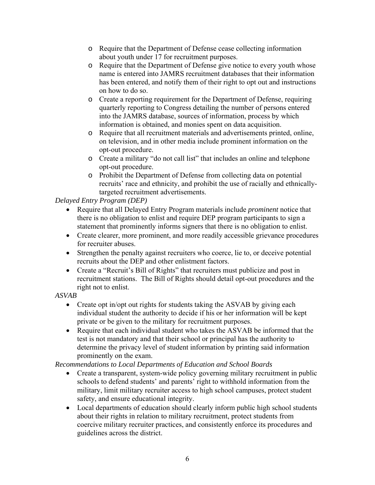- o Require that the Department of Defense cease collecting information about youth under 17 for recruitment purposes.
- o Require that the Department of Defense give notice to every youth whose name is entered into JAMRS recruitment databases that their information has been entered, and notify them of their right to opt out and instructions on how to do so.
- o Create a reporting requirement for the Department of Defense, requiring quarterly reporting to Congress detailing the number of persons entered into the JAMRS database, sources of information, process by which information is obtained, and monies spent on data acquisition.
- o Require that all recruitment materials and advertisements printed, online, on television, and in other media include prominent information on the opt-out procedure.
- o Create a military "do not call list" that includes an online and telephone opt-out procedure.
- o Prohibit the Department of Defense from collecting data on potential recruits' race and ethnicity, and prohibit the use of racially and ethnicallytargeted recruitment advertisements.

*Delayed Entry Program (DEP)* 

- Require that all Delayed Entry Program materials include *prominent* notice that there is no obligation to enlist and require DEP program participants to sign a statement that prominently informs signers that there is no obligation to enlist.
- Create clearer, more prominent, and more readily accessible grievance procedures for recruiter abuses.
- Strengthen the penalty against recruiters who coerce, lie to, or deceive potential recruits about the DEP and other enlistment factors.
- Create a "Recruit's Bill of Rights" that recruiters must publicize and post in recruitment stations. The Bill of Rights should detail opt-out procedures and the right not to enlist.

*ASVAB* 

- Create opt in/opt out rights for students taking the ASVAB by giving each individual student the authority to decide if his or her information will be kept private or be given to the military for recruitment purposes.
- Require that each individual student who takes the ASVAB be informed that the test is not mandatory and that their school or principal has the authority to determine the privacy level of student information by printing said information prominently on the exam.

*Recommendations to Local Departments of Education and School Boards* 

- Create a transparent, system-wide policy governing military recruitment in public schools to defend students' and parents' right to withhold information from the military, limit military recruiter access to high school campuses, protect student safety, and ensure educational integrity.
- Local departments of education should clearly inform public high school students about their rights in relation to military recruitment, protect students from coercive military recruiter practices, and consistently enforce its procedures and guidelines across the district.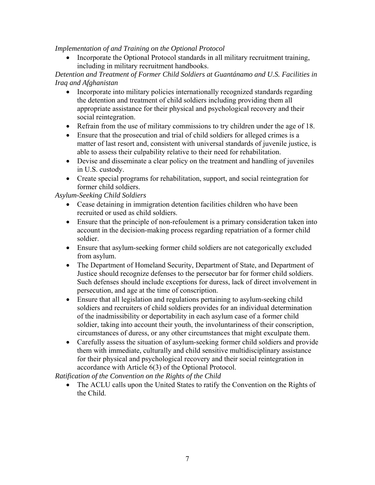*Implementation of and Training on the Optional Protocol* 

• Incorporate the Optional Protocol standards in all military recruitment training, including in military recruitment handbooks.

*Detention and Treatment of Former Child Soldiers at Guantánamo and U.S. Facilities in Iraq and Afghanistan* 

- Incorporate into military policies internationally recognized standards regarding the detention and treatment of child soldiers including providing them all appropriate assistance for their physical and psychological recovery and their social reintegration.
- Refrain from the use of military commissions to try children under the age of 18.
- Ensure that the prosecution and trial of child soldiers for alleged crimes is a matter of last resort and, consistent with universal standards of juvenile justice, is able to assess their culpability relative to their need for rehabilitation.
- Devise and disseminate a clear policy on the treatment and handling of juveniles in U.S. custody.
- Create special programs for rehabilitation, support, and social reintegration for former child soldiers.

*Asylum-Seeking Child Soldiers* 

- Cease detaining in immigration detention facilities children who have been recruited or used as child soldiers.
- Ensure that the principle of non-refoulement is a primary consideration taken into account in the decision-making process regarding repatriation of a former child soldier.
- Ensure that asylum-seeking former child soldiers are not categorically excluded from asylum.
- The Department of Homeland Security, Department of State, and Department of Justice should recognize defenses to the persecutor bar for former child soldiers. Such defenses should include exceptions for duress, lack of direct involvement in persecution, and age at the time of conscription.
- Ensure that all legislation and regulations pertaining to asylum-seeking child soldiers and recruiters of child soldiers provides for an individual determination of the inadmissibility or deportability in each asylum case of a former child soldier, taking into account their youth, the involuntariness of their conscription, circumstances of duress, or any other circumstances that might exculpate them.
- Carefully assess the situation of asylum-seeking former child soldiers and provide them with immediate, culturally and child sensitive multidisciplinary assistance for their physical and psychological recovery and their social reintegration in accordance with Article 6(3) of the Optional Protocol.

*Ratification of the Convention on the Rights of the Child* 

• The ACLU calls upon the United States to ratify the Convention on the Rights of the Child.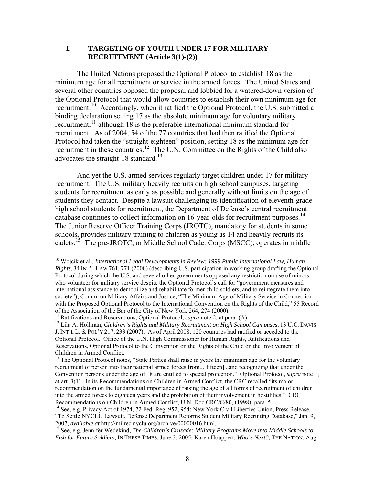#### <span id="page-9-0"></span>**I. TARGETING OF YOUTH UNDER 17 FOR MILITARY RECRUITMENT (Article 3(1)-(2))**

The United Nations proposed the Optional Protocol to establish 18 as the minimum age for all recruitment or service in the armed forces. The United States and several other countries opposed the proposal and lobbied for a watered-down version of the Optional Protocol that would allow countries to establish their own minimum age for recruitment.<sup>[10](#page-9-1)</sup> Accordingly, when it ratified the Optional Protocol, the U.S. submitted a binding declaration setting 17 as the absolute minimum age for voluntary military recruitment,  $\frac{11}{11}$  $\frac{11}{11}$  $\frac{11}{11}$  although 18 is the preferable international minimum standard for recruitment. As of 2004, 54 of the 77 countries that had then ratified the Optional Protocol had taken the "straight-eighteen" position, setting 18 as the minimum age for recruitment in these countries.<sup>[12](#page-9-3)</sup> The U.N. Committee on the Rights of the Child also advocates the straight-18 standard.<sup>[13](#page-9-4)</sup>

And yet the U.S. armed services regularly target children under 17 for military recruitment. The U.S. military heavily recruits on high school campuses, targeting students for recruitment as early as possible and generally without limits on the age of students they contact. Despite a lawsuit challenging its identification of eleventh-grade high school students for recruitment, the Department of Defense's central recruitment database continues to collect information on 16-year-olds for recruitment purposes.<sup>[14](#page-9-5)</sup> The Junior Reserve Officer Training Corps (JROTC), mandatory for students in some schools, provides military training to children as young as 14 and heavily recruits its cadets.<sup>[15](#page-9-6)</sup> The pre-JROTC, or Middle School Cadet Corps (MSCC), operates in middle

<span id="page-9-1"></span><sup>&</sup>lt;sup>10</sup> Wojcik et al., *International Legal Developments in Review: 1999 Public International Law, Human Rights*, 34 INT'L LAW 761, 771 (2000) (describing U.S. participation in working group drafting the Optional Protocol during which the U.S. and several other governments opposed any restriction on use of minors who volunteer for military service despite the Optional Protocol's call for "government measures and international assistance to demobilize and rehabilitate former child soldiers, and to reintegrate them into society"); Comm. on Military Affairs and Justice, "The Minimum Age of Military Service in Connection with the Proposed Optional Protocol to the International Convention on the Rights of the Child," 55 Record of the Association of the Bar of the City of New York 264, 274 (2000).<br><sup>11</sup> Ratifications and Reservations, Optional Protocol, *supra* note 2, at para. (A).

<span id="page-9-3"></span><span id="page-9-2"></span><sup>&</sup>lt;sup>12</sup> Lila A. Hollman, *Children's Rights and Military Recruitment on High School Campuses*, 13 U.C. DAVIS J. INT'L L. & POL'Y 217, 233 (2007). As of April 2008, 120 countries had ratified or acceded to the Optional Protocol. Office of the U.N. High Commissioner for Human Rights, Ratifications and Reservations, Optional Protocol to the Convention on the Rights of the Child on the Involvement of Children in Armed Conflict.

<span id="page-9-4"></span><sup>&</sup>lt;sup>13</sup> The Optional Protocol notes, "State Parties shall raise in years the minimum age for the voluntary recruitment of person into their national armed forces from...[fifteen]...and recognizing that under the Convention persons under the age of 18 are entitled to special protection." Optional Protocol, *supra* note 1, at art. 3(1). In its Recommendations on Children in Armed Conflict, the CRC recalled "its major recommendation on the fundamental importance of raising the age of all forms of recruitment of children into the armed forces to eighteen years and the prohibition of their involvement in hostilities." CRC Recommendations on Children in Armed Conflict, U.N. Doc CRC/C/80, (1998), para. 5.

<span id="page-9-5"></span><sup>&</sup>lt;sup>14</sup> See, e.g. Privacy Act of 1974, 72 Fed. Reg. 952, 954; New York Civil Liberties Union, Press Release, "To Settle NYCLU Lawsuit, Defense Department Reforms Student Military Recruiting Database," Jan. 9,

<span id="page-9-6"></span><sup>2007,</sup> *available at* http://milrec.nyclu.org/archive/00000016.html. 15 See, e.g. Jennifer Wedekind, *The Children's Crusade: Military Programs Move into Middle Schools to Fish for Future Soldiers*, IN THESE TIMES, June 3, 2005; Karen Houppert, *Who's Next?*, THE NATION, Aug.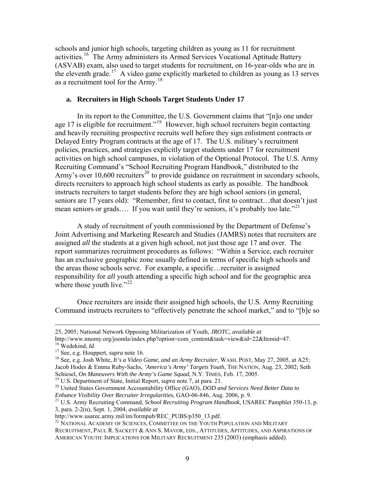<span id="page-10-0"></span>schools and junior high schools, targeting children as young as 11 for recruitment activities.<sup>[16](#page-10-1)</sup> The Army administers its Armed Services Vocational Aptitude Battery (ASVAB) exam, also used to target students for recruitment, on 16-year-olds who are in the eleventh grade.<sup>[17](#page-10-2)</sup> A video game explicitly marketed to children as young as 13 serves as a recruitment tool for the  $Army.<sup>18</sup>$  $Army.<sup>18</sup>$  $Army.<sup>18</sup>$ 

#### **a. Recruiters in High Schools Target Students Under 17**

In its report to the Committee, the U.S. Government claims that "[n]o one under age 17 is eligible for recruitment."<sup>[19](#page-10-4)</sup> However, high school recruiters begin contacting and heavily recruiting prospective recruits well before they sign enlistment contracts or Delayed Entry Program contracts at the age of 17. The U.S. military's recruitment policies, practices, and strategies explicitly target students under 17 for recruitment activities on high school campuses, in violation of the Optional Protocol. The U.S. Army Recruiting Command's "School Recruiting Program Handbook," distributed to the Army's over 10,600 recruiters<sup>[20](#page-10-5)</sup> to provide guidance on recruitment in secondary schools, directs recruiters to approach high school students as early as possible. The handbook instructs recruiters to target students before they are high school seniors (in general, seniors are 17 years old): "Remember, first to contact, first to contract...that doesn't just mean seniors or grads.... If you wait until they're seniors, it's probably too late."<sup>[21](#page-10-6)</sup>

A study of recruitment of youth commissioned by the Department of Defense's Joint Advertising and Marketing Research and Studies (JAMRS) notes that recruiters are assigned *all* the students at a given high school, not just those age 17 and over. The report summarizes recruitment procedures as follows: "Within a Service, each recruiter has an exclusive geographic zone usually defined in terms of specific high schools and the areas those schools serve. For example, a specific…recruiter is assigned responsibility for *all* youth attending a specific high school and for the geographic area where those youth live." $2^2$ 

Once recruiters are inside their assigned high schools, the U.S. Army Recruiting Command instructs recruiters to "effectively penetrate the school market," and to "[b]e so

 <sup>25, 2005;</sup> National Network Opposing Militarization of Youth, *JROTC*, *available at*

http://www.nnomy.org/joomla/index.php?option=com\_content&task=view&id=22&Itemid=47.

<span id="page-10-3"></span>

<span id="page-10-2"></span><span id="page-10-1"></span><sup>&</sup>lt;sup>16</sup> Wedekind, *Id.*<br><sup>17</sup> See, e.g. Houppert, *supra* note 16.<br><sup>18</sup> See, e.g. Josh White, *It's a Video Game, and an Army Recruiter*, WASH. POST, May 27, 2005, at A25; Jacob Hodes & Emma Ruby-Sachs, *'America's Army' Targets Youth*, THE NATION, Aug. 23, 2002; Seth

<span id="page-10-5"></span><span id="page-10-4"></span><sup>&</sup>lt;sup>19</sup> U.S. Department of State, Initial Report, *supra* note 7, at para. 21.<br><sup>20</sup> United States Government Accountability Office (GAO), *DOD and Services Need Better Data to*<br>*Enhance Visibility Over Recruiter Irregulariti* 

<span id="page-10-6"></span><sup>&</sup>lt;sup>21</sup> U.S. Army Recruiting Command, *School Recruiting Program Handbook*, USAREC Pamphlet 350-13, p. 3, para. 2-2(n), Sept. 1, 2004, *available at*

<span id="page-10-7"></span> $^{22}$  NATIONAL ACADEMY OF SCIENCES, COMMITTEE ON THE YOUTH POPULATION AND MILITARY RECRUITMENT, PAUL R. SACKETT & ANN S. MAVOR, EDS., ATTITUDES, APTITUDES, AND ASPIRATIONS OF AMERICAN YOUTH: IMPLICATIONS FOR MILITARY RECRUITMENT 235 (2003) (emphasis added).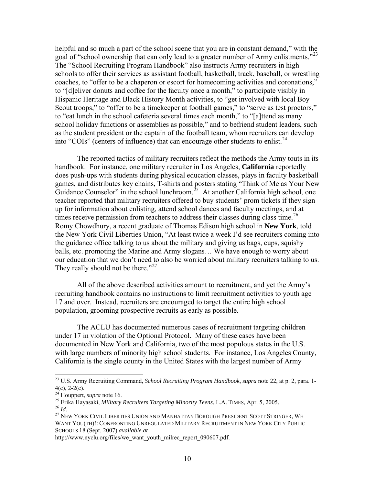helpful and so much a part of the school scene that you are in constant demand," with the goal of "school ownership that can only lead to a greater number of Army enlistments."<sup>[23](#page-11-0)</sup> The "School Recruiting Program Handbook" also instructs Army recruiters in high schools to offer their services as assistant football, basketball, track, baseball, or wrestling coaches, to "offer to be a chaperon or escort for homecoming activities and coronations," to "[d]eliver donuts and coffee for the faculty once a month," to participate visibly in Hispanic Heritage and Black History Month activities, to "get involved with local Boy Scout troops," to "offer to be a timekeeper at football games," to "serve as test proctors," to "eat lunch in the school cafeteria several times each month," to "[a]ttend as many school holiday functions or assemblies as possible," and to befriend student leaders, such as the student president or the captain of the football team, whom recruiters can develop into "COIs" (centers of influence) that can encourage other students to enlist.<sup>[24](#page-11-1)</sup>

The reported tactics of military recruiters reflect the methods the Army touts in its handbook. For instance, one military recruiter in Los Angeles, **California** reportedly does push-ups with students during physical education classes, plays in faculty basketball games, and distributes key chains, T-shirts and posters stating "Think of Me as Your New Guidance Counselor" in the school lunchroom.<sup>[25](#page-11-2)</sup> At another California high school, one teacher reported that military recruiters offered to buy students' prom tickets if they sign up for information about enlisting, attend school dances and faculty meetings, and at times receive permission from teachers to address their classes during class time.<sup>[26](#page-11-3)</sup> Romy Chowdhury, a recent graduate of Thomas Edison high school in **New York**, told the New York Civil Liberties Union, "At least twice a week I'd see recruiters coming into the guidance office talking to us about the military and giving us bags, cups, squishy balls, etc. promoting the Marine and Army slogans… We have enough to worry abou t our education that we don't need to also be worried about military recruiters talking to u s. They really should not be there."<sup>[27](#page-11-4)</sup>

All of the above described activities amount to recruitment, and yet the Army's recruiting handbook contains no instructions to limit recruitment activities to youth age 17 and over. Instead, recruiters are encouraged to target the entire high school population, grooming prospective recruits as early as possible.

 The ACLU has documented numerous cases of recruitment targeting children under 17 in violation of the Optional Protocol. Many of these cases have been documented in New York and California, two of the most populous states in the U.S. with large numbers of minority high school students. For instance, Los Angeles County, California is the single county in the United States with the largest number of Army

<span id="page-11-0"></span><sup>23</sup> U.S. Army Recruiting Command, *School Recruiting Program Handbook*, *supra* note 22, at p. 2, para. 1-  $4(c)$ , 2-2(c).<br><sup>24</sup> Houppert, *supra* note 16.

<span id="page-11-3"></span><span id="page-11-2"></span><span id="page-11-1"></span><sup>&</sup>lt;sup>25</sup> Erika Hayasaki, *Military Recruiters Targeting Minority Teens*, L.A. TIMES, Apr. 5, 2005.<br><sup>26</sup> Id.<br><sup>27</sup> New YORK CIVIL LIBERTIES UNION AND MANHATTAN BOROUGH PRESIDENT SCOTT STRINGER, WE

<span id="page-11-4"></span>WANT YOU(TH)!: CONFRONTING UNREGULATED MILITARY RECRUITMENT IN NEW YORK CITY PUBLIC SCHOOLS 18 (Sept. 2007) *available at*

http://www.nyclu.org/files/we\_want\_youth\_milrec\_report\_090607.pdf.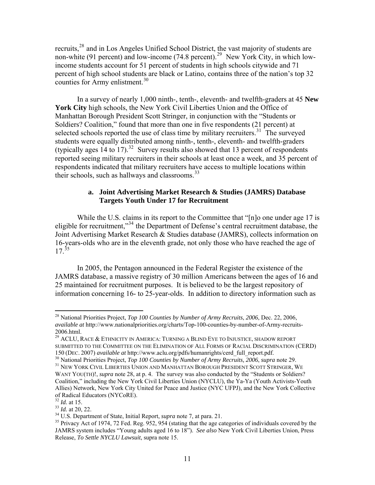<span id="page-12-0"></span>recruits,[28](#page-12-1) and in Los Angeles Unified School District, the vast majority of students are non-white (91 percent) and low-income (74.8 percent).<sup>[29](#page-12-2)</sup> New York City, in which lowincome students account for 51 percent of students in high schools citywide and 71 percent of high school students are black or Latino, contains three of the nation's top 32 counties for Army enlistment.<sup>[30](#page-12-3)</sup>

In a survey of nearly 1,000 ninth-, tenth-, eleventh- and twelfth-graders at 45 **New York City** high schools, the New York Civil Liberties Union and the Office of Manhattan Borough President Scott Stringer, in conjunction with the "Students or Soldiers? Coalition," found that more than one in five respondents (21 percent) at selected schools reported the use of class time by military recruiters.<sup>[31](#page-12-4)</sup> The surveyed students were equally distributed among ninth-, tenth-, eleventh- and twelfth-graders (typically ages 14 to 17).<sup>[32](#page-12-5)</sup> Survey results also showed that 13 percent of respondents reported seeing military recruiters in their schools at least once a week, and 35 percent of respondents indicated that military recruiters have access to multiple locations within their schools, such as hallways and classrooms.<sup>[33](#page-12-6)</sup>

#### **a. Joint Advertising Market Research & Studies (JAMRS) Database Targets Youth Under 17 for Recruitment**

While the U.S. claims in its report to the Committee that "[n]o one under age 17 is eligible for recruitment,"[34](#page-12-7) the Department of Defense's central recruitment database, the Joint Advertising Market Research & Studies database (JAMRS), collects information on 16-years-olds who are in the eleventh grade, not only those who have reached the age of  $17^{35}$  $17^{35}$  $17^{35}$ 

In 2005, the Pentagon announced in the Federal Register the existence of the JAMRS database, a massive registry of 30 million Americans between the ages of 16 and 25 maintained for recruitment purposes. It is believed to be the largest repository of information concerning 16- to 25-year-olds. In addition to directory information such as

<span id="page-12-1"></span><sup>28</sup> National Priorities Project, *Top 100 Counties by Number of Army Recruits*, *2006*, Dec. 22, 2006, *available at* http://www.nationalpriorities.org/charts/Top-100-counties-by-number-of-Army-recruits-2006.html.

<span id="page-12-2"></span><sup>29</sup> ACLU, RACE & ETHNICITY IN AMERICA: TURNING A BLIND EYE TO INJUSTICE, SHADOW REPORT SUBMITTED TO THE COMMITTEE ON THE ELIMINATION OF ALL FORMS OF RACIAL DISCRIMINATION (CERD)

<span id="page-12-4"></span><span id="page-12-3"></span><sup>150 (</sup>DEC. 2007) *available at http://www.aclu.org/pdfs/humanrights/cerd\_full\_report.pdf.*<br><sup>30</sup> National Priorities Project, *Top 100 Counties by Number of Army Recruits*, 2006, *supra* note 29.<br><sup>31</sup> NEW YORK CIVIL LIBERTIE WANT YOU(TH)!, *supra* note 28, at p. 4. The survey was also conducted by the "Students or Soldiers? Coalition," including the New York Civil Liberties Union (NYCLU), the Ya-Ya (Youth Activists-Youth Allies) Network, New York City United for Peace and Justice (NYC UFPJ), and the New York Collective of Radical Educators (NYCoRE).<br><sup>32</sup> Id. at 15.

<span id="page-12-8"></span><span id="page-12-7"></span>

<span id="page-12-6"></span><span id="page-12-5"></span> $^{33}$  *Id.* at 20, 22.<br><sup>34</sup> U.S. Department of State, Initial Report, *supra* note 7, at para. 21.<br><sup>35</sup> Privacy Act of 1974, 72 Fed. Reg. 952, 954 (stating that the age categories of individuals covered by the JAMRS system includes "Young adults aged 16 to 18"). *See also* New York Civil Liberties Union, Press Release, *To Settle NYCLU Lawsuit*, supra note 15.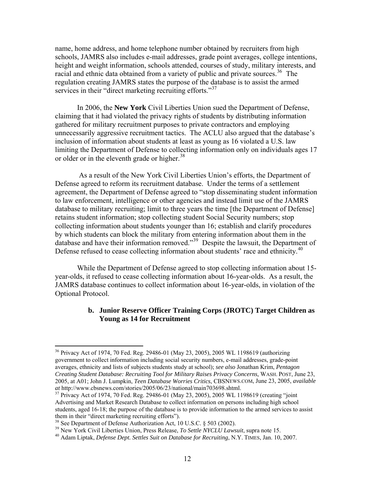<span id="page-13-0"></span>name, home address, and home telephone number obtained by recruiters from high schools, JAMRS also includes e-mail addresses, grade point averages, college intentions, height and weight information, schools attended, courses of study, military interests, and racial and ethnic data obtained from a variety of public and private sources.<sup>[36](#page-13-1)</sup> The regulation creating JAMRS states the purpose of the database is to assist the armed services in their "direct marketing recruiting efforts."<sup>[37](#page-13-2)</sup>

In 2006, the **New York** Civil Liberties Union sued the Department of Defense, claiming that it had violated the privacy rights of students by distributing information gathered for military recruitment purposes to private contractors and employing unnecessarily aggressive recruitment tactics. The ACLU also argued that the database's inclusion of information about students at least as young as 16 violated a U.S. law limiting the Department of Defense to collecting information only on individuals ages 17 or older or in the eleventh grade or higher.<sup>[38](#page-13-3)</sup>

 As a result of the New York Civil Liberties Union's efforts, the Department of Defense agreed to reform its recruitment database. Under the terms of a settlement agreement, the Department of Defense agreed to "stop disseminating student information to law enforcement, intelligence or other agencies and instead limit use of the JAMRS database to military recruiting; limit to three years the time [the Department of Defense] retains student information; stop collecting student Social Security numbers; stop collecting information about students younger than 16; establish and clarify procedures by which students can block the military from entering information about them in the database and have their information removed."<sup>[39](#page-13-4)</sup> Despite the lawsuit, the Department of Defense refused to cease collecting information about students' race and ethnicity.<sup>[40](#page-13-5)</sup>

While the Department of Defense agreed to stop collecting information about 15 year-olds, it refused to cease collecting information about 16-year-olds. As a result, the JAMRS database continues to collect information about 16-year-olds, in violation of the Optional Protocol.

## **b. Junior Reserve Officer Training Corps (JROTC) Target Children as Young as 14 for Recruitment**

<span id="page-13-1"></span><sup>36</sup> Privacy Act of 1974, 70 Fed. Reg. 29486-01 (May 23, 2005), 2005 WL 1198619 (authorizing government to collect information including social security numbers, e-mail addresses, grade-point averages, ethnicity and lists of subjects students study at school); *see also* Jonathan Krim, *Pentagon Creating Student Database: Recruiting Tool for Military Raises Privacy Concerns,* WASH. POST, June 23, 2005, at A01; John J. Lumpkin, *Teen Database Worries Critics*, CBSNEWS.COM, June 23, 2005, *available at* http://www.cbsnews.com/stories/2005/06/23/national/main703698.shtml. 37 Privacy Act of 1974, 70 Fed. Reg. 29486-01 (May 23, 2005), 2005 WL 1198619 (creating "joint

<span id="page-13-2"></span>Advertising and Market Research Database to collect information on persons including high school students, aged 16-18; the purpose of the database is to provide information to the armed services to assist them in their "direct marketing recruiting efforts").

<span id="page-13-3"></span><sup>&</sup>lt;sup>38</sup> See Department of Defense Authorization Act, 10 U.S.C. § 503 (2002).<br><sup>39</sup> New York Civil Liberties Union, Press Release, *To Settle NYCLU Lawsuit*, supra note 15.

<span id="page-13-5"></span><span id="page-13-4"></span><sup>&</sup>lt;sup>40</sup> Adam Liptak, *Defense Dept. Settles Suit on Database for Recruiting*, N.Y. TIMES, Jan. 10, 2007.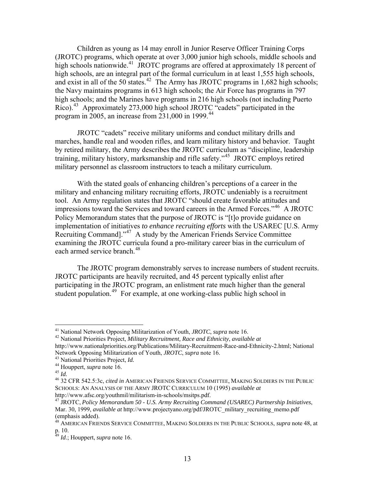Children as young as 14 may enroll in Junior Reserve Officer Training Corps (JROTC) programs, which operate at over 3,000 junior high schools, middle schools and high schools nationwide.<sup>[41](#page-14-0)</sup> JROTC programs are offered at approximately 18 percent of high schools, are an integral part of the formal curriculum in at least 1,555 high schools, and exist in all of the 50 states.<sup>[42](#page-14-1)</sup> The Army has JROTC programs in  $1,682$  high schools; the Navy maintains programs in 613 high schools; the Air Force has programs in 797 high schools; and the Marines have programs in 216 high schools (not including Puerto Rico).<sup>[43](#page-14-2)</sup> Approximately 273,000 high school JROTC "cadets" participated in the program in 2005, an increase from  $231,000$  in 1999.<sup>[44](#page-14-3)</sup>

JROTC "cadets" receive military uniforms and conduct military drills and marches, handle real and wooden rifles, and learn military history and behavior. Taught by retired military, the Army describes the JROTC curriculum as "discipline, leadership training, military history, marksmanship and rifle safety."[45](#page-14-4) JROTC employs retired military personnel as classroom instructors to teach a military curriculum.

With the stated goals of enhancing children's perceptions of a career in the military and enhancing military recruiting efforts, JROTC undeniably is a recruitment tool. An Army regulation states that JROTC "should create favorable attitudes and impressions toward the Services and toward careers in the Armed Forces."<sup>[46](#page-14-5)</sup> A JROTC Policy Memorandum states that the purpose of JROTC is "[t]o provide guidance on implementation of initiatives *to enhance recruiting efforts* with the USAREC [U.S. Army Recruiting Command]."<sup>[47](#page-14-6)</sup> A study by the American Friends Service Committee examining the JROTC curricula found a pro-military career bias in the curriculum of each armed service branch.<sup>[48](#page-14-7)</sup>

The JROTC program demonstrably serves to increase numbers of student recruits. JROTC participants are heavily recruited, and 45 percent typically enlist after participating in the JROTC program, an enlistment rate much higher than the general student population.<sup>[49](#page-14-8)</sup> For example, at one working-class public high school in

<span id="page-14-0"></span><sup>41</sup> National Network Opposing Militarization of Youth, *JROTC*, *supra* note 16. 42 National Priorities Project, *Military Recruitment, Race and Ethnicity*, *available at*

<span id="page-14-1"></span>http://www.nationalpriorities.org/Publications/Military-Recruitment-Race-and-Ethnicity-2.html; National

<span id="page-14-3"></span>

<span id="page-14-5"></span><span id="page-14-4"></span>

<span id="page-14-2"></span>Network Opposing Militarization of Youth, *JROTC*, *supra* note 16.<br>
<sup>43</sup> National Priorities Project, *Id*.<br>
<sup>44</sup> Houppert, *supra* note 16.<br>
<sup>45</sup> Id.<br>
<sup>46</sup> 32 CFR 542.5:3c, *cited in* AMERICAN FRIENDS SERVICE COMMITTEE, SCHOOLS: AN ANALYSIS OF THE ARMY JROTC CURRICULUM 10 (1995) *available at* http://www.afsc.org/youthmil/militarism-in-schools/msitps.pdf.

<span id="page-14-6"></span><sup>47</sup> JROTC, *Policy Memorandum 50 - U.S. Army Recruiting Command (USAREC) Partnership Initiatives*, Mar. 30, 1999, *available at* http://www.projectyano.org/pdf/JROTC\_military\_recruiting\_memo.pdf (emphasis added).

<span id="page-14-7"></span><sup>48</sup> AMERICAN FRIENDS SERVICE COMMITTEE, MAKING SOLDIERS IN THE PUBLIC SCHOOLS, *supra* note 48, at p. 10.

<span id="page-14-8"></span><sup>49</sup> *Id*.; Houppert, *supra* note 16.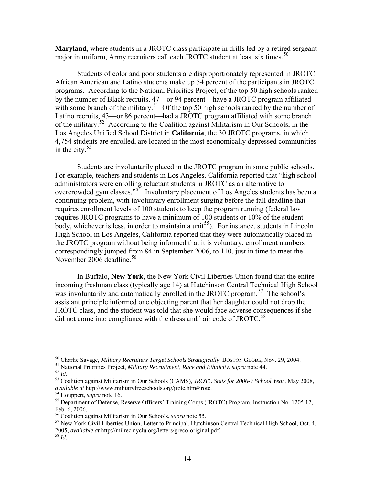**Maryland**, where students in a JROTC class participate in drills led by a retired sergeant major in uniform, Army recruiters call each JROTC student at least six times.<sup>[50](#page-15-0)</sup>

Students of color and poor students are disproportionately represented in JROTC. African American and Latino students make up 54 percent of the participants in JROTC programs. According to the National Priorities Project, of the top 50 high schools ranked by the number of Black recruits, 47—or 94 percent—have a JROTC program affiliated with some branch of the military.<sup>[51](#page-15-1)</sup> Of the top 50 high schools ranked by the number of Latino recruits, 43—or 86 percent—had a JROTC program affiliated with some branch of the military.<sup>[52](#page-15-2)</sup> According to the Coalition against Militarism in Our Schools, in the Los Angeles Unified School District in **California**, the 30 JROTC programs, in which 4,754 students are enrolled, are located in the most economically depressed communities in the city. $53$ 

Students are involuntarily placed in the JROTC program in some public schools. For example, teachers and students in Los Angeles, California reported that "high school administrators were enrolling reluctant students in JROTC as an alternative to overcrowded gym classes."<sup>[54](#page-15-4)</sup> Involuntary placement of Los Angeles students has been a continuing problem, with involuntary enrollment surging before the fall deadline that requires enrollment levels of 100 students to keep the program running (federal law requires JROTC programs to have a minimum of 100 students or 10% of the student body, whichever is less, in order to maintain a unit<sup>[55](#page-15-5)</sup>). For instance, students in Lincoln High School in Los Angeles, California reported that they were automatically placed in the JROTC program without being informed that it is voluntary; enrollment numbers correspondingly jumped from 84 in September 2006, to 110, just in time to meet the November 2006 deadline.<sup>[56](#page-15-6)</sup>

In Buffalo, **New York**, the New York Civil Liberties Union found that the entire incoming freshman class (typically age 14) at Hutchinson Central Technical High School was involuntarily and automatically enrolled in the JROTC program.<sup>[57](#page-15-7)</sup> The school's assistant principle informed one objecting parent that her daughter could not drop the JROTC class, and the student was told that she would face adverse consequences if she did not come into compliance with the dress and hair code of JROTC.<sup>[58](#page-15-8)</sup>

<span id="page-15-1"></span><span id="page-15-0"></span><sup>&</sup>lt;sup>50</sup> Charlie Savage, *Military Recruiters Target Schools Strategically*, BOSTON GLOBE, Nov. 29, 2004.<br><sup>51</sup> National Priorities Project, *Military Recruitment, Race and Ethnicity*, *supra* note 44.<br><sup>52</sup> Id.<br><sup>53</sup> Coalition

<span id="page-15-3"></span><span id="page-15-2"></span>*available at* http://www.militaryfreeschools.org/jrotc.htm#jrotc.<br><sup>54</sup> Houppert, *supra* note 16.<br><sup>55</sup> Department of Defense, Reserve Officers' Training Corps (JROTC) Program, Instruction No. 1205.12,

<span id="page-15-4"></span>

<span id="page-15-5"></span>Feb. 6, 2006.<br><sup>56</sup> Coalition against Militarism in Our Schools, *supra* note 55.

<span id="page-15-7"></span><span id="page-15-6"></span><sup>&</sup>lt;sup>57</sup> New York Civil Liberties Union, Letter to Principal, Hutchinson Central Technical High School, Oct. 4, 2005, *available at* http://milrec.nyclu.org/letters/greco-original.pdf. 58 *Id.*

<span id="page-15-8"></span>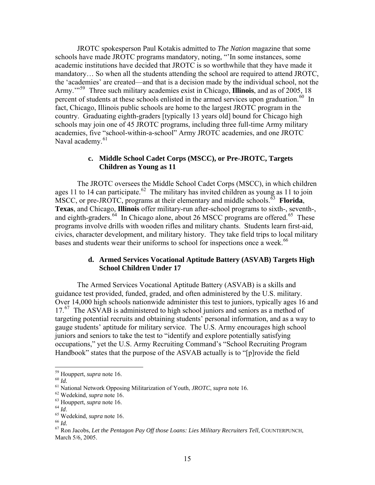<span id="page-16-0"></span>JROTC spokesperson Paul Kotakis admitted to *The Nation* magazine that some schools have made JROTC programs mandatory, noting, "'In some instances, some academic institutions have decided that JROTC is so worthwhile that they have made it mandatory… So when all the students attending the school are required to attend JROTC, the 'academies' are created—and that is a decision made by the individual school, not the Army.'"[59](#page-16-1) Three such military academies exist in Chicago, **Illinois**, and as of 2005, 18 percent of students at these schools enlisted in the armed services upon graduation.<sup>[60](#page-16-2)</sup> In fact, Chicago, Illinois public schools are home to the largest JROTC program in the country. Graduating eighth-graders [typically 13 years old] bound for Chicago high schools may join one of 45 JROTC programs, including three full-time Army military academies, five "school-within-a-school" Army JROTC academies, and one JROTC Naval academy.<sup>[61](#page-16-3)</sup>

#### **c. Middle School Cadet Corps (MSCC), or Pre-JROTC, Targets Children as Young as 11**

The JROTC oversees the Middle School Cadet Corps (MSCC), in which children ages 11 to 14 can participate.<sup>[62](#page-16-4)</sup> The military has invited children as young as 11 to join  $\overline{\text{MSCC}}$ , or pre-JROTC, programs at their elementary and middle schools.<sup>[63](#page-16-5)</sup> **Florida**, **Texas**, and Chicago, **Illinois** offer military-run after-school programs to sixth-, seventh-, and eighth-graders.<sup>[64](#page-16-6)</sup> In Chicago alone, about 26 MSCC programs are offered.<sup>[65](#page-16-7)</sup> These programs involve drills with wooden rifles and military chants. Students learn first-aid, civics, character development, and military history. They take field trips to local military bases and students wear their uniforms to school for inspections once a week.<sup>[66](#page-16-8)</sup>

## **d. Armed Services Vocational Aptitude Battery (ASVAB) Targets High School Children Under 17**

The Armed Services Vocational Aptitude Battery (ASVAB) is a skills and guidance test provided, funded, graded, and often administered by the U.S. military. Over 14,000 high schools nationwide administer this test to juniors, typically ages 16 and  $17.<sup>67</sup>$  $17.<sup>67</sup>$  $17.<sup>67</sup>$  The ASVAB is administered to high school juniors and seniors as a method of targeting potential recruits and obtaining students' personal information, and as a way to gauge students' aptitude for military service. The U.S. Army encourages high school juniors and seniors to take the test to "identify and explore potentially satisfying occupations," yet the U.S. Army Recruiting Command's "School Recruiting Program Handbook" states that the purpose of the ASVAB actually is to "[p]rovide the field

<span id="page-16-3"></span>

<span id="page-16-2"></span><span id="page-16-1"></span><sup>&</sup>lt;sup>59</sup> Houppert, *supra* note 16.<br>
<sup>60</sup> *Id.*<br>
<sup>61</sup> National Network Opposing Militarization of Youth, *JROTC*, *supra* note 16.<br>
<sup>62</sup> Wedekind, *supra* note 16.<br>
<sup>64</sup> *Id.*<br>
<sup>65</sup> Wedekind, *supra* note 16.<br>
<sup>66</sup> *Id.*<br>
<sup>66</sup>

<span id="page-16-4"></span>

<span id="page-16-5"></span>

<span id="page-16-6"></span>

<span id="page-16-7"></span>

<span id="page-16-8"></span>

<span id="page-16-9"></span>March 5/6, 2005.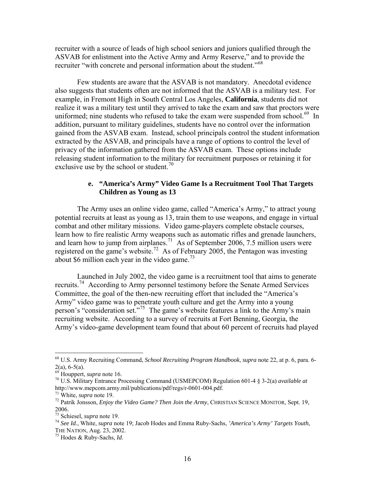<span id="page-17-0"></span>recruiter with a source of leads of high school seniors and juniors qualified through the ASVAB for enlistment into the Active Army and Army Reserve," and to provide the recruiter "with concrete and personal information about the student."[68](#page-17-1)

Few students are aware that the ASVAB is not mandatory. Anecdotal evidence also suggests that students often are not informed that the ASVAB is a military test. For example, in Fremont High in South Central Los Angeles, **California**, students did not realize it was a military test until they arrived to take the exam and saw that proctors were uniformed; nine students who refused to take the exam were suspended from school.<sup>[69](#page-17-2)</sup> In addition, pursuant to military guidelines, students have no control over the information gained from the ASVAB exam. Instead, school principals control the student information extracted by the ASVAB, and principals have a range of options to control the level of privacy of the information gathered from the ASVAB exam. These options include releasing student information to the military for recruitment purposes or retaining it for exclusive use by the school or student.<sup>[70](#page-17-3)</sup>

# **e. "America's Army" Video Game Is a Recruitment Tool That Targets Children as Young as 13**

The Army uses an online video game, called "America's Army," to attract young potential recruits at least as young as 13, train them to use weapons, and engage in virtual combat and other military missions. Video game-players complete obstacle courses, learn how to fire realistic Army weapons such as automatic rifles and grenade launchers, and learn how to jump from airplanes.<sup>[71](#page-17-4)</sup> As of September 2006, 7.5 million users were registered on the game's website.<sup>[72](#page-17-5)</sup> As of February 2005, the Pentagon was investing about \$6 million each year in the video game.<sup>[73](#page-17-6)</sup>

Launched in July 2002, the video game is a recruitment tool that aims to generate recruits.[74](#page-17-7) According to Army personnel testimony before the Senate Armed Services Committee, the goal of the then-new recruiting effort that included the "America's Army" video game was to penetrate youth culture and get the Army into a young person's "consideration set."[75](#page-17-8) The game's website features a link to the Army's main recruiting website. According to a survey of recruits at Fort Benning, Georgia, the Army's video-game development team found that about 60 percent of recruits had played

<span id="page-17-1"></span><sup>68</sup> U.S. Army Recruiting Command, *School Recruiting Program Handbook*, *supra* note 22, at p. 6, para. 6-  $2(a)$ , 6-5(a).<br><sup>69</sup> Houppert, *supra* note 16.

<span id="page-17-3"></span><span id="page-17-2"></span><sup>&</sup>lt;sup>70</sup> U.S. Military Entrance Processing Command (USMEPCOM) Regulation 601-4 § 3-2(a) *available at* http://www.mepcom.army.mil/publications/pdf/regs/r-0601-004.pdf.<br><sup>71</sup> White, *supra* note 19.

<span id="page-17-5"></span><span id="page-17-4"></span><sup>&</sup>lt;sup>72</sup> Patrik Jonsson, *Enjoy the Video Game? Then Join the Army*, CHRISTIAN SCIENCE MONITOR, Sept. 19, 2006.<br> $73$  Schiesel, *supra* note 19.

<span id="page-17-7"></span><span id="page-17-6"></span><sup>73</sup> Schiesel, *supra* note 19. 74 *See Id.*, White, *supra* note 19; Jacob Hodes and Emma Ruby-Sachs, *'America's Army' Targets Youth*, THE NATION, Aug. 23, 2002. 75 Hodes & Ruby-Sachs, *Id*.

<span id="page-17-8"></span>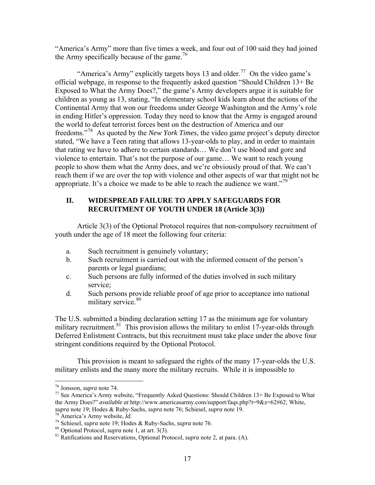<span id="page-18-0"></span>"America's Army" more than five times a week, and four out of 100 said they had joined the Army specifically because of the game.<sup>[76](#page-18-1)</sup>

"America's Army" explicitly targets boys 13 and older.<sup>[77](#page-18-2)</sup> On the video game's official webpage, in response to the frequently asked question "Should Children 13+ Be Exposed to What the Army Does?," the game's Army developers argue it is suitable for children as young as 13, stating, "In elementary school kids learn about the actions of the Continental Army that won our freedoms under George Washington and the Army's role in ending Hitler's oppression. Today they need to know that the Army is engaged around the world to defeat terrorist forces bent on the destruction of America and our freedoms."[78](#page-18-3) As quoted by the *New York Times*, the video game project's deputy director stated, "We have a Teen rating that allows 13-year-olds to play, and in order to maintain that rating we have to adhere to certain standards… We don't use blood and gore and violence to entertain. That's not the purpose of our game… We want to reach young people to show them what the Army does, and we're obviously proud of that. We can't reach them if we are over the top with violence and other aspects of war that might not be appropriate. It's a choice we made to be able to reach the audience we want."<sup>[79](#page-18-4)</sup>

# **II. WIDESPREAD FAILURE TO APPLY SAFEGUARDS FOR RECRUITMENT OF YOUTH UNDER 18 (Article 3(3))**

Article 3(3) of the Optional Protocol requires that non-compulsory recruitment of youth under the age of 18 meet the following four criteria:

- a. Such recruitment is genuinely voluntary;
- b. Such recruitment is carried out with the informed consent of the person's parents or legal guardians;
- c. Such persons are fully informed of the duties involved in such military service;
- d. Such persons provide reliable proof of age prior to acceptance into national military service.<sup>[80](#page-18-5)</sup>

The U.S. submitted a binding declaration setting 17 as the minimum age for voluntary military recruitment.<sup>[81](#page-18-6)</sup> This provision allows the military to enlist 17-year-olds through Deferred Enlistment Contracts, but this recruitment must take place under the above four stringent conditions required by the Optional Protocol.

This provision is meant to safeguard the rights of the many 17-year-olds the U.S. military enlists and the many more the military recruits. While it is impossible to

<span id="page-18-1"></span><sup>&</sup>lt;sup>76</sup> Jonsson, *supra* note 74.

<span id="page-18-2"></span><sup>&</sup>lt;sup>77</sup> See America's Army website, "Frequently Asked Questions: Should Children 13+ Be Exposed to What the Army Does?" *available at http://www.americasarmy.com/support/faqs.php?t=9&z=62#62; White, supra note 19; Hodes & Ruby-Sachs, <i>supra note 76; Schiesel, supra note 19*.

<span id="page-18-6"></span><span id="page-18-5"></span>

<span id="page-18-4"></span><span id="page-18-3"></span><sup>&</sup>lt;sup>78</sup> America's Army website, *Id*.<br><sup>79</sup> Schiesel, *supra* note 19; Hodes & Ruby-Sachs, *supra* note 76.<br><sup>80</sup> Optional Protocol, *supra* note 1, at art. 3(3).<br><sup>81</sup> Ratifications and Reservations, Optional Protocol, *supra*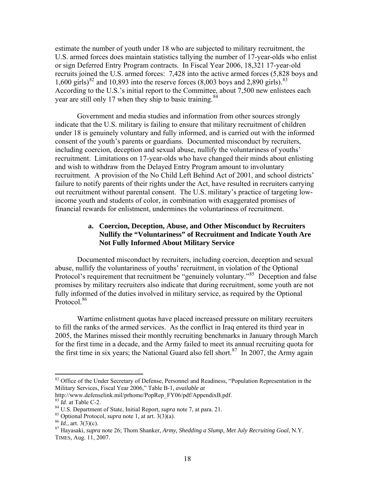<span id="page-19-0"></span>estimate the number of youth under 18 who are subjected to military recruitment, the U.S. armed forces does maintain statistics tallying the number of 17-year-olds who enlist or sign Deferred Entry Program contracts. In Fiscal Year 2006, 18,321 17-year-old recruits joined the U.S. armed forces: 7,428 into the active armed forces (5,828 boys and 1,600 girls)<sup>[82](#page-19-1)</sup> and 10,893 into the reserve forces (8,003 boys and 2,890 girls).<sup>[83](#page-19-2)</sup> According to the U.S.'s initial report to the Committee, about 7,500 new enlistees each year are still only 17 when they ship to basic training.<sup>[84](#page-19-3)</sup>

Government and media studies and information from other sources strongly indicate that the U.S. military is failing to ensure that military recruitment of children under 18 is genuinely voluntary and fully informed, and is carried out with the informed consent of the youth's parents or guardians. Documented misconduct by recruiters, including coercion, deception and sexual abuse, nullify the voluntariness of youths' recruitment. Limitations on 17-year-olds who have changed their minds about enlisting and wish to withdraw from the Delayed Entry Program amount to involuntary recruitment. A provision of the No Child Left Behind Act of 2001, and school districts' failure to notify parents of their rights under the Act, have resulted in recruiters carrying out recruitment without parental consent. The U.S. military's practice of targeting lowincome youth and students of color, in combination with exaggerated promises of financial rewards for enlistment, undermines the voluntariness of recruitment.

## **a. Coercion, Deception, Abuse, and Other Misconduct by Recruiters Nullify the "Voluntariness" of Recruitment and Indicate Youth Are Not Fully Informed About Military Service**

Documented misconduct by recruiters, including coercion, deception and sexual abuse, nullify the voluntariness of youths' recruitment, in violation of the Optional Protocol's requirement that recruitment be "genuinely voluntary."<sup>[85](#page-19-4)</sup> Deception and false promises by military recruiters also indicate that during recruitment, some youth are not fully informed of the duties involved in military service, as required by the Optional Protocol.<sup>[86](#page-19-5)</sup>

Wartime enlistment quotas have placed increased pressure on military recruiters to fill the ranks of the armed services. As the conflict in Iraq entered its third year in 2005, the Marines missed their monthly recruiting benchmarks in January through March for the first time in a decade, and the Army failed to meet its annual recruiting quota for the first time in six years; the National Guard also fell short.<sup>[87](#page-19-6)</sup> In 2007, the Army again

<span id="page-19-1"></span><sup>&</sup>lt;sup>82</sup> Office of the Under Secretary of Defense, Personnel and Readiness, "Population Representation in the Military Services, Fiscal Year 2006," Table B-1, *available at*

http://www.defenselink.mil/prhome/PopRep\_FY06/pdf/AppendixB.pdf.

<span id="page-19-6"></span><span id="page-19-5"></span>

<span id="page-19-4"></span><span id="page-19-3"></span><span id="page-19-2"></span><sup>&</sup>lt;sup>84</sup> U.S. Department of State, Initial Report, *supra* note 7, at para. 21.<br><sup>85</sup> Optional Protocol, *supra* note 1, at art. 3(3)(a).<br><sup>86</sup> Id., art. 3(3)(c).<br><sup>87</sup> Hayasaki, *supra* note 26; Thom Shanker, *Army, Shedding a* TIMES, Aug. 11, 2007.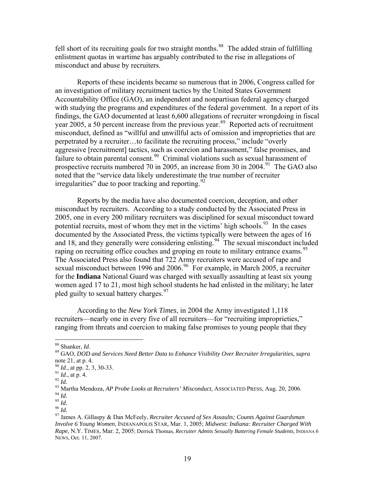fell short of its recruiting goals for two straight months.<sup>[88](#page-20-0)</sup> The added strain of fulfilling enlistment quotas in wartime has arguably contributed to the rise in allegations of misconduct and abuse by recruiters.

Reports of these incidents became so numerous that in 2006, Congress called for an investigation of military recruitment tactics by the United States Government Accountability Office (GAO), an independent and nonpartisan federal agency charged with studying the programs and expenditures of the federal government. In a report of its findings, the GAO documented at least 6,600 allegations of recruiter wrongdoing in fiscal year 2005, a 50 percent increase from the previous year.<sup>[89](#page-20-1)</sup> Reported acts of recruitment misconduct, defined as "willful and unwillful acts of omission and improprieties that are perpetrated by a recruiter…to facilitate the recruiting process," include "overly aggressive [recruitment] tactics, such as coercion and harassment," false promises, and failure to obtain parental consent.<sup>[90](#page-20-2)</sup> Criminal violations such as sexual harassment of prospective recruits numbered 70 in 2005, an increase from 30 in 2004.<sup>[91](#page-20-3)</sup> The GAO also noted that the "service data likely underestimate the true number of recruiter irregularities" due to poor tracking and reporting.  $92$ 

Reports by the media have also documented coercion, deception, and other misconduct by recruiters.According to a study conducted by the Associated Press in 2005, one in every 200 military recruiters was disciplined for sexual misconduct toward potential recruits, most of whom they met in the victims' high schools.<sup>[93](#page-20-5)</sup> In the cases documented by the Associated Press, the victims typically were between the ages of 16 and 18, and they generally were considering enlisting.<sup>[94](#page-20-6)</sup> The sexual misconduct included raping on recruiting office couches and groping en route to military entrance exams.<sup>[95](#page-20-7)</sup> The Associated Press also found that 722 Army recruiters were accused of rape and sexual misconduct between 19[96](#page-20-8) and 2006.<sup>96</sup> For example, in March 2005, a recruiter for the **Indiana** National Guard was charged with sexually assaulting at least six young women aged 17 to 21, most high school students he had enlisted in the military; he later pled guilty to sexual battery charges.<sup>[97](#page-20-9)</sup>

According to the *New York Times*, in 2004 the Army investigated 1,118 recruiters—nearly one in every five of all recruiters—for "recruiting improprieties," ranging from threats and coercion to making false promises to young people that they

<span id="page-20-0"></span> $88$  Shanker, *Id.* 

<span id="page-20-1"></span><sup>88</sup> Shanker, *Id*. 89 GAO, *DOD and Services Need Better Data to Enhance Visibility Over Recruiter Irregularities*, *supra*  note 21, at p. 4.<br> $^{90}$  *Id.*, at pp. 2, 3, 30-33.

<span id="page-20-5"></span>

<span id="page-20-4"></span><span id="page-20-3"></span><span id="page-20-2"></span><sup>&</sup>lt;sup>91</sup> Id., at p. 4.<br>
<sup>92</sup> Id., at p. 4.<br>
<sup>92</sup> Id.<br>
<sup>93</sup> Martha Mendoza, *AP Probe Looks at Recruiters' Misconduct*, ASSOCIATED PRESS, Aug. 20, 2006.<br>
<sup>94</sup> Id.<br>
<sup>95</sup> Id.<br>
<sup>96</sup> Id.<br>
<sup>97</sup> James A. Gillaspy & Dan McFeely. *Rec* 

<span id="page-20-7"></span><span id="page-20-6"></span>

<span id="page-20-8"></span>

<span id="page-20-9"></span>*Involve 6 Young Women*, INDIANAPOLIS STAR, Mar. 1, 2005; *Midwest: Indiana: Recruiter Charged With Rape*, N.Y. TIMES, Mar. 2, 2005; Derrick Thomas, *Recruiter Admits Sexually Battering Female Students*, INDIANA 6 NEWS, Oct. 11, 2007.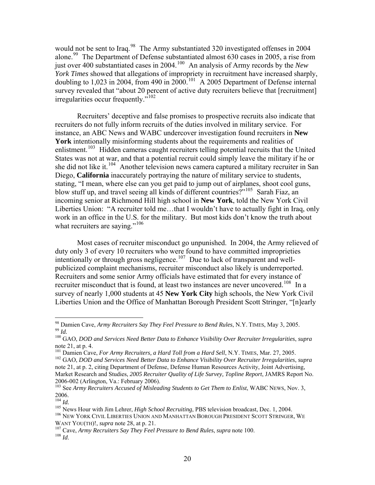would not be sent to Iraq.<sup>[98](#page-21-0)</sup> The Army substantiated 320 investigated offenses in 2004 alone.<sup>[99](#page-21-1)</sup> The Department of Defense substantiated almost 630 cases in 2005, a rise from just over 400 substantiated cases in 2004.[100](#page-21-2) An analysis of Army records by the *New York Times* showed that allegations of impropriety in recruitment have increased sharply, doubling to 1,023 in 2004, from 490 in 2000.<sup>[101](#page-21-3)</sup> A 2005 Department of Defense internal survey revealed that "about 20 percent of active duty recruiters believe that [recruitment] irregularities occur frequently."<sup>[102](#page-21-4)</sup>

Recruiters' deceptive and false promises to prospective recruits also indicate that recruiters do not fully inform recruits of the duties involved in military service. For instance, an ABC News and WABC undercover investigation found recruiters in **New York** intentionally misinforming students about the requirements and realities of enlistment.<sup>[103](#page-21-5)</sup> Hidden cameras caught recruiters telling potential recruits that the United States was not at war, and that a potential recruit could simply leave the military if he or she did not like it.<sup>[104](#page-21-6)</sup> Another television news camera captured a military recruiter in San Diego, **California** inaccurately portraying the nature of military service to students, stating, "I mean, where else can you get paid to jump out of airplanes, shoot cool guns, blow stuff up, and travel seeing all kinds of different countries?"<sup>[105](#page-21-7)</sup> Sarah Fiaz, an incoming senior at Richmond Hill high school in **New York**, told the New York Civil Liberties Union: "A recruiter told me…that I wouldn't have to actually fight in Iraq, only work in an office in the U.S. for the military. But most kids don't know the truth about what recruiters are saying."<sup>[106](#page-21-8)</sup>

Most cases of recruiter misconduct go unpunished. In 2004, the Army relieved of duty only 3 of every 10 recruiters who were found to have committed improprieties intentionally or through gross negligence.<sup>[107](#page-21-9)</sup> Due to lack of transparent and wellpublicized complaint mechanisms, recruiter misconduct also likely is underreported. Recruiters and some senior Army officials have estimated that for every instance of recruiter misconduct that is found, at least two instances are never uncovered.<sup>[108](#page-21-10)</sup> In a survey of nearly 1,000 students at 45 **New York City** high schools, the New York Civil Liberties Union and the Office of Manhattan Borough President Scott Stringer, "[n]early

<span id="page-21-1"></span><span id="page-21-0"></span><sup>&</sup>lt;sup>98</sup> Damien Cave, Army Recruiters Say They Feel Pressure to Bend Rules, N.Y. TIMES, May 3, 2005.  $\frac{99}{100}$  *Id.*<br> $\frac{100}{100}$  GAO, DOD and Services Need Better Data to Enhance Visibility Over Recruiter Irregularities, supra

<span id="page-21-2"></span>note 21, at p. 4.

<span id="page-21-3"></span><sup>&</sup>lt;sup>101</sup> Damien Cave, *For Army Recruiters, a Hard Toll from a Hard Sell*, N.Y. TIMES, Mar. 27, 2005.<br><sup>102</sup> GAO, *DOD and Services Need Better Data to Enhance Visibility Over Recruiter Irregularities, supra* 

<span id="page-21-4"></span>note 21, at p. 2, citing Department of Defense, Defense Human Resources Activity, Joint Advertising, Market Research and Studies, *2005 Recruiter Quality of Life Survey, Topline Report*, JAMRS Report No. 2006-002 (Arlington, Va.: February 2006).

<span id="page-21-5"></span><sup>&</sup>lt;sup>103</sup> See Army Recruiters Accused of Misleading Students to Get Them to Enlist, WABC NEWS, Nov. 3,  $\frac{2006}{104}$  *Id.* 

<span id="page-21-7"></span><span id="page-21-6"></span><sup>&</sup>lt;sup>105</sup> News Hour with Jim Lehrer, *High School Recruiting*, PBS television broadcast, Dec. 1, 2004.<br><sup>106</sup> NEW YORK CIVIL LIBERTIES UNION AND MANHATTAN BOROUGH PRESIDENT SCOTT STRINGER, WE

<span id="page-21-10"></span><span id="page-21-9"></span><span id="page-21-8"></span>WANT YOU(TH)!, *supra* note 28, at p. 21.<br><sup>107</sup> Cave, *Army Recruiters Say They Feel Pressure to Bend Rules*, *supra* note 100.<br><sup>108</sup> *Id*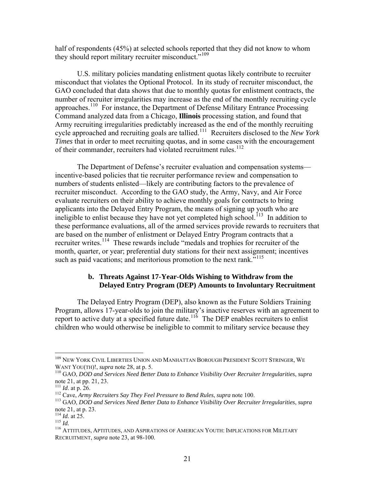<span id="page-22-0"></span>half of respondents (45%) at selected schools reported that they did not know to whom they should report military recruiter misconduct."<sup>[109](#page-22-1)</sup>

U.S. military policies mandating enlistment quotas likely contribute to recruiter misconduct that violates the Optional Protocol. In its study of recruiter misconduct, the GAO concluded that data shows that due to monthly quotas for enlistment contracts, the number of recruiter irregularities may increase as the end of the monthly recruiting cycle approaches.[110](#page-22-2) For instance, the Department of Defense Military Entrance Processing Command analyzed data from a Chicago, **Illinois** processing station, and found that Army recruiting irregularities predictably increased as the end of the monthly recruiting cycle approached and recruiting goals are tallied.[111](#page-22-3) Recruiters disclosed to the *New York Times* that in order to meet recruiting quotas, and in some cases with the encouragement of their commander, recruiters had violated recruitment rules.<sup>[112](#page-22-4)</sup>

The Department of Defense's recruiter evaluation and compensation systems incentive-based policies that tie recruiter performance review and compensation to numbers of students enlisted—likely are contributing factors to the prevalence of recruiter misconduct. According to the GAO study, the Army, Navy, and Air Force evaluate recruiters on their ability to achieve monthly goals for contracts to bring applicants into the Delayed Entry Program, the means of signing up youth who are ineligible to enlist because they have not yet completed high school.<sup> $113$ </sup> In addition to these performance evaluations, all of the armed services provide rewards to recruiters that are based on the number of enlistment or Delayed Entry Program contracts that a recruiter writes.<sup>[114](#page-22-6)</sup> These rewards include "medals and trophies for recruiter of the month, quarter, or year; preferential duty stations for their next assignment; incentives such as paid vacations; and meritorious promotion to the next rank."<sup>[115](#page-22-7)</sup>

#### **b. Threats Against 17-Year-Olds Wishing to Withdraw from the Delayed Entry Program (DEP) Amounts to Involuntary Recruitment**

The Delayed Entry Program (DEP), also known as the Future Soldiers Training Program, allows 17-year-olds to join the military's inactive reserves with an agreement to report to active duty at a specified future date.<sup>[116](#page-22-8)</sup> The DEP enables recruiters to enlist children who would otherwise be ineligible to commit to military service because they

<sup>&</sup>lt;sup>109</sup> NEW YORK CIVIL LIBERTIES UNION AND MANHATTAN BOROUGH PRESIDENT SCOTT STRINGER, WE

<span id="page-22-2"></span><span id="page-22-1"></span>WANT YOU(TH)!, *supra* note 28, at p. 5.<br><sup>110</sup> GAO, *DOD and Services Need Better Data to Enhance Visibility Over Recruiter Irregularities, supra* note 21, at pp. 21, 23.<br><sup>111</sup> *Id.* at p. 26.

<span id="page-22-5"></span><span id="page-22-4"></span><span id="page-22-3"></span><sup>112</sup> Cave, Army Recruiters Say They Feel Pressure to Bend Rules, supra note 100.<br><sup>112</sup> GAO, DOD and Services Need Better Data to Enhance Visibility Over Recruiter Irregularities, supra note 21, at p. 23.<br><sup>114</sup> *Id.* at 25.<br><sup>115</sup> *Id.* 

<span id="page-22-6"></span>

<span id="page-22-8"></span><span id="page-22-7"></span><sup>&</sup>lt;sup>116</sup> ATTITUDES, APTITUDES, AND ASPIRATIONS OF AMERICAN YOUTH: IMPLICATIONS FOR MILITARY RECRUITMENT, *supra* note 23, at 98-100.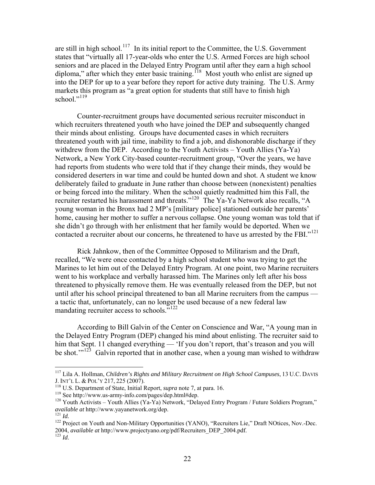are still in high school.<sup>[117](#page-23-0)</sup> In its initial report to the Committee, the U.S. Government states that "virtually all 17-year-olds who enter the U.S. Armed Forces are high school seniors and are placed in the Delayed Entry Program until after they earn a high school diploma," after which they enter basic training.<sup>[118](#page-23-1)</sup> Most youth who enlist are signed up into the DEP for up to a year before they report for active duty training. The U.S. Army markets this program as "a great option for students that still have to finish high school."<sup>[119](#page-23-2)</sup>

Counter-recruitment groups have documented serious recruiter misconduct in which recruiters threatened youth who have joined the DEP and subsequently changed their minds about enlisting. Groups have documented cases in which recruiters threatened youth with jail time, inability to find a job, and dishonorable discharge if they withdrew from the DEP. According to the Youth Activists – Youth Allies (Ya-Ya) Network, a New York City-based counter-recruitment group, "Over the years, we have had reports from students who were told that if they change their minds, they would be considered deserters in war time and could be hunted down and shot. A student we know deliberately failed to graduate in June rather than choose between (nonexistent) penalties or being forced into the military. When the school quietly readmitted him this Fall, the recruiter restarted his harassment and threats."<sup>[120](#page-23-3)</sup> The Ya-Ya Network also recalls, "A young woman in the Bronx had 2 MP's [military police] stationed outside her parents' home, causing her mother to suffer a nervous collapse. One young woman was told that if she didn't go through with her enlistment that her family would be deported. When we contacted a recruiter about our concerns, he threatened to have us arrested by the FBI."<sup>[121](#page-23-4)</sup>

Rick Jahnkow, then of the Committee Opposed to Militarism and the Draft, recalled, "We were once contacted by a high school student who was trying to get the Marines to let him out of the Delayed Entry Program. At one point, two Marine recruiters went to his workplace and verbally harassed him. The Marines only left after his boss threatened to physically remove them. He was eventually released from the DEP, but not until after his school principal threatened to ban all Marine recruiters from the campus a tactic that, unfortunately, can no longer be used because of a new federal law mandating recruiter access to schools."<sup>[122](#page-23-5)</sup>

According to Bill Galvin of the Center on Conscience and War, "A young man in the Delayed Entry Program (DEP) changed his mind about enlisting. The recruiter said to him that Sept. 11 changed everything — 'If you don't report, that's treason and you will be shot."<sup>[123](#page-23-6)</sup> Galvin reported that in another case, when a young man wished to withdraw

<span id="page-23-0"></span><sup>&</sup>lt;sup>117</sup> Lila A. Hollman, *Children's Rights and Military Recruitment on High School Campuses*, 13 U.C. DAVIS J. INT'L L. & POL'Y 217, 225 (2007).

<span id="page-23-3"></span><span id="page-23-2"></span>

<span id="page-23-1"></span><sup>&</sup>lt;sup>118</sup> U.S. Department of State, Initial Report, *supra* note 7, at para. 16.<br><sup>119</sup> See http://www.us-army-info.com/pages/dep.html#dep.<br><sup>120</sup> Youth Activists – Youth Allies (Ya-Ya) Network, "Delayed Entry Program / Future

<span id="page-23-5"></span><span id="page-23-4"></span><sup>&</sup>lt;sup>121</sup> *Id.* 122 Project on Youth and Non-Military Opportunities (YANO), "Recruiters Lie," Draft NOtices, Nov.-Dec. 2004, *available at* http://www.projectyano.org/pdf/Recruiters\_DEP\_2004.pdf. 123 *Id*.

<span id="page-23-6"></span>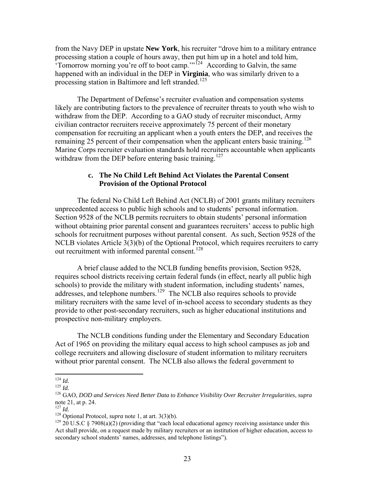<span id="page-24-0"></span>from the Navy DEP in upstate **New York**, his recruiter "drove him to a military entrance processing station a couple of hours away, then put him up in a hotel and told him, Tomorrow morning you're off to boot camp."<sup>[124](#page-24-1)</sup> According to Galvin, the same happened with an individual in the DEP in **Virginia**, who was similarly driven to a processing station in Baltimore and left stranded.<sup>[125](#page-24-2)</sup>

The Department of Defense's recruiter evaluation and compensation systems likely are contributing factors to the prevalence of recruiter threats to youth who wish to withdraw from the DEP. According to a GAO study of recruiter misconduct, Army civilian contractor recruiters receive approximately 75 percent of their monetary compensation for recruiting an applicant when a youth enters the DEP, and receives the remaining 25 percent of their compensation when the applicant enters basic training.<sup>[126](#page-24-3)</sup> Marine Corps recruiter evaluation standards hold recruiters accountable when applicants withdraw from the DEP before entering basic training.<sup>[127](#page-24-4)</sup>

#### **c. The No Child Left Behind Act Violates the Parental Consent Provision of the Optional Protocol**

The federal No Child Left Behind Act (NCLB) of 2001 grants military recruiters unprecedented access to public high schools and to students' personal information. Section 9528 of the NCLB permits recruiters to obtain students' personal information without obtaining prior parental consent and guarantees recruiters' access to public high schools for recruitment purposes without parental consent. As such, Section 9528 of the NCLB violates Article 3(3)(b) of the Optional Protocol, which requires recruiters to carry out recruitment with informed parental consent.<sup>[128](#page-24-5)</sup>

A brief clause added to the NCLB funding benefits provision, Section 9528, requires school districts receiving certain federal funds (in effect, nearly all public high schools) to provide the military with student information, including students' names, addresses, and telephone numbers.<sup>[129](#page-24-6)</sup> The NCLB also requires schools to provide military recruiters with the same level of in-school access to secondary students as they provide to other post-secondary recruiters, such as higher educational institutions and prospective non-military employers.

The NCLB conditions funding under the Elementary and Secondary Education Act of 1965 on providing the military equal access to high school campuses as job and college recruiters and allowing disclosure of student information to military recruiters without prior parental consent. The NCLB also allows the federal government to

<span id="page-24-1"></span> $124$  *Id.* 

<span id="page-24-3"></span><span id="page-24-2"></span><sup>124</sup> *Id.* <sup>125</sup> *Id.* 126 GAO, *DOD and Services Need Better Data to Enhance Visibility Over Recruiter Irregularities*, *supra*  note 21, at p. 24.<br> $^{127}$  *Id.* 

<span id="page-24-6"></span>

<span id="page-24-5"></span><span id="page-24-4"></span><sup>&</sup>lt;sup>128</sup> Optional Protocol, *supra* note 1, at art. 3(3)(b).<br><sup>129</sup> 20 U.S.C § 7908(a)(2) (providing that "each local educational agency receiving assistance under this Act shall provide, on a request made by military recruiters or an institution of higher education, access to secondary school students' names, addresses, and telephone listings").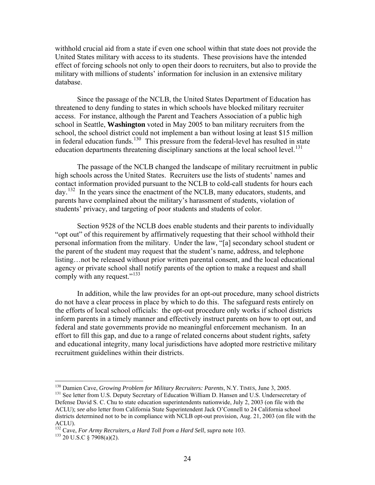withhold crucial aid from a state if even one school within that state does not provide the United States military with access to its students. These provisions have the intended effect of forcing schools not only to open their doors to recruiters, but also to provide the military with millions of students' information for inclusion in an extensive military database.

Since the passage of the NCLB, the United States Department of Education has threatened to deny funding to states in which schools have blocked military recruiter access. For instance, although the Parent and Teachers Association of a public high school in Seattle, **Washington** voted in May 2005 to ban military recruiters from the school, the school district could not implement a ban without losing at least \$15 million in federal education funds.<sup>[130](#page-25-0)</sup> This pressure from the federal-level has resulted in state education departments threatening disciplinary sanctions at the local school level.<sup>[131](#page-25-1)</sup>

The passage of the NCLB changed the landscape of military recruitment in public high schools across the United States. Recruiters use the lists of students' names and contact information provided pursuant to the NCLB to cold-call students for hours each day.[132](#page-25-2) In the years since the enactment of the NCLB, many educators, students, and parents have complained about the military's harassment of students, violation of students' privacy, and targeting of poor students and students of color.

Section 9528 of the NCLB does enable students and their parents to individually "opt out" of this requirement by affirmatively requesting that their school withhold their personal information from the military. Under the law, "[a] secondary school student or the parent of the student may request that the student's name, address, and telephone listing…not be released without prior written parental consent, and the local educational agency or private school shall notify parents of the option to make a request and shall comply with any request."<sup>[133](#page-25-3)</sup>

In addition, while the law provides for an opt-out procedure, many school districts do not have a clear process in place by which to do this. The safeguard rests entirely on the efforts of local school officials: the opt-out procedure only works if school districts inform parents in a timely manner and effectively instruct parents on how to opt out, and federal and state governments provide no meaningful enforcement mechanism. In an effort to fill this gap, and due to a range of related concerns about student rights, safety and educational integrity, many local jurisdictions have adopted more restrictive military recruitment guidelines within their districts.

<span id="page-25-0"></span><sup>&</sup>lt;sup>130</sup> Damien Cave, Growing Problem for Military Recruiters: Parents, N.Y. TIMES, June 3, 2005.

<span id="page-25-1"></span><sup>&</sup>lt;sup>131</sup> See letter from U.S. Deputy Secretary of Education William D. Hansen and U.S. Undersecretary of Defense David S. C. Chu to state education superintendents nationwide, July 2, 2003 (on file with the ACLU); *see also* letter from California State Superintendent Jack O'Connell to 24 California school districts determined not to be in compliance with NCLB opt-out provision, Aug. 21, 2003 (on file with the ACLU).

<span id="page-25-3"></span><span id="page-25-2"></span><sup>&</sup>lt;sup>132</sup> Cave, *For Army Recruiters, a Hard Toll from a Hard Sell, supra* note 103.<br><sup>133</sup> 20 U.S.C § 7908(a)(2).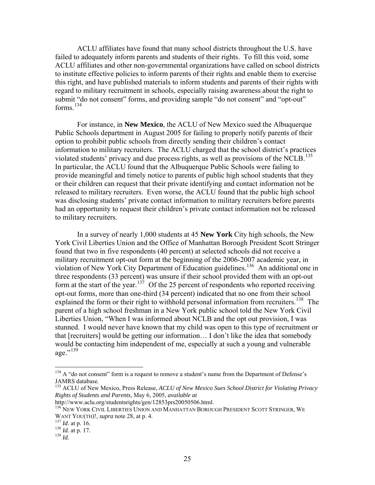ACLU affiliates have found that many school districts throughout the U.S. have failed to adequately inform parents and students of their rights. To fill this void, some ACLU affiliates and other non-governmental organizations have called on school districts to institute effective policies to inform parents of their rights and enable them to exercise this right, and have published materials to inform students and parents of their rights with regard to military recruitment in schools, especially raising awareness about the right to submit "do not consent" forms, and providing sample "do not consent" and "opt-out" forms. $^{134}$  $^{134}$  $^{134}$ 

For instance, in **New Mexico**, the ACLU of New Mexico sued the Albuquerque Public Schools department in August 2005 for failing to properly notify parents of their option to prohibit public schools from directly sending their children's contact information to military recruiters. The ACLU charged that the school district's practices violated students' privacy and due process rights, as well as provisions of the NCLB.<sup>[135](#page-26-1)</sup> In particular, the ACLU found that the Albuquerque Public Schools were failing to provide meaningful and timely notice to parents of public high school students that they or their children can request that their private identifying and contact information not be released to military recruiters. Even worse, the ACLU found that the public high school was disclosing students' private contact information to military recruiters before parents had an opportunity to request their children's private contact information not be released to military recruiters.

In a survey of nearly 1,000 students at 45 **New York** City high schools, the New York Civil Liberties Union and the Office of Manhattan Borough President Scott Stringer found that two in five respondents (40 percent) at selected schools did not receive a military recruitment opt-out form at the beginning of the 2006-2007 academic year, in violation of New York City Department of Education guidelines.<sup>[136](#page-26-2)</sup> An additional one in three respondents (33 percent) was unsure if their school provided them with an opt-out form at the start of the year.<sup>[137](#page-26-3)</sup> Of the 25 percent of respondents who reported receiving opt-out forms, more than one-third (34 percent) indicated that no one from their school explained the form or their right to withhold personal information from recruiters.<sup>[138](#page-26-4)</sup> The parent of a high school freshman in a New York public school told the New York Civil Liberties Union, "When I was informed about NCLB and the opt out provision, I was stunned. I would never have known that my child was open to this type of recruitment or that [recruiters] would be getting our information… I don't like the idea that somebody would be contacting him independent of me, especially at such a young and vulnerable age."<sup>[139](#page-26-5)</sup>

<span id="page-26-0"></span><sup>&</sup>lt;sup>134</sup> A "do not consent" form is a request to remove a student's name from the Department of Defense's JAMRS database.

<span id="page-26-1"></span><sup>135</sup> ACLU of New Mexico, Press Release, *ACLU of New Mexico Sues School District for Violating Privacy Rights of Students and Parents*, May 6, 2005, *available at*

http://www.aclu.org/studentsrights/gen/12853prs20050506.html.

<span id="page-26-2"></span><sup>&</sup>lt;sup>136</sup> NEW YORK CIVIL LIBERTIES UNION AND MANHATTAN BOROUGH PRESIDENT SCOTT STRINGER, WE WANT YOU(TH)!, *supra* note 28, at p. 4.<br><sup>137</sup> *Id.* at p. 16.<br><sup>138</sup> *Id.* at p. 17.<br><sup>139</sup> *Id* 

<span id="page-26-4"></span><span id="page-26-3"></span>

<span id="page-26-5"></span>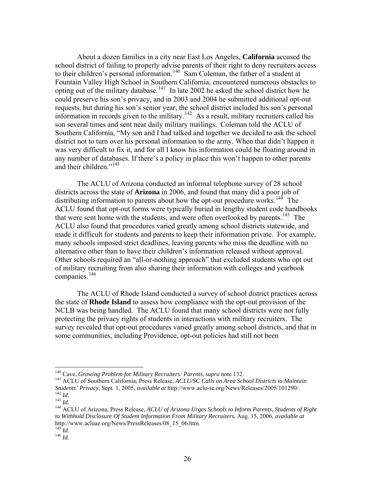About a dozen families in a city near East Los Angeles, **California** accused the school district of failing to properly advise parents of their right to deny recruiters access to their children's personal information.<sup>[140](#page-27-0)</sup> Sam Coleman, the father of a student at Fountain Valley High School in Southern California, encountered numerous obstacles to opting out of the military database.<sup>[141](#page-27-1)</sup> In late 2002 he asked the school district how he could preserve his son's privacy, and in 2003 and 2004 he submitted additional opt-out requests, but during his son's senior year, the school district included his son's personal information in records given to the military.<sup>[142](#page-27-2)</sup> As a result, military recruiters called his son several times and sent near daily military mailings. Coleman told the ACLU of Southern California, "My son and I had talked and together we decided to ask the school district not to turn over his personal information to the army. When that didn't happen it was very difficult to fix it, and for all I know his information could be floating around in any number of databases. If there's a policy in place this won't happen to other parents and their children." $143$ 

The ACLU of Arizona conducted an informal telephone survey of 28 school districts across the state of **Arizona** in 2006, and found that many did a poor job of distributing information to parents about how the opt-out procedure works.<sup>[144](#page-27-4)</sup> The ACLU found that opt-out forms were typically buried in lengthy student code handbooks that were sent home with the students, and were often overlooked by parents.<sup>[145](#page-27-5)</sup> The ACLU also found that procedures varied greatly among school districts statewide, and made it difficult for students and parents to keep their information private. For example, many schools imposed strict deadlines, leaving parents who miss the deadline with no alternative other than to have their children's information released without approval. Other schools required an "all-or-nothing approach" that excluded students who opt out of military recruiting from also sharing their information with colleges and yearbook companies.<sup>[146](#page-27-6)</sup>

The ACLU of Rhode Island conducted a survey of school district practices across the state of **Rhode Island** to assess how compliance with the opt-out provision of the NCLB was being handled. The ACLU found that many school districts were not fully protecting the privacy rights of students in interactions with military recruiters. The survey revealed that opt-out procedures varied greatly among school districts, and that in some communities, including Providence, opt-out policies had still not been

<span id="page-27-1"></span><span id="page-27-0"></span><sup>&</sup>lt;sup>140</sup> Cave, *Growing Problem for Military Recruiters: Parents, supra* note 132.<br><sup>141</sup> ACLU of Southern California, Press Release, *ACLU/SC Calls on Area School Districts to Maintain Students' Privacy*, Sept. 1, 2005, *avai* <sup>142</sup> *Id.*<br><sup>143</sup> *Id.*<br><sup>144</sup> ACLU of Arizona, Press Release, ACLU of Arizona Urges Schools to Inform Parents, Students of Right

<span id="page-27-3"></span><span id="page-27-2"></span>

<span id="page-27-4"></span>*to Withhold Disclosure Of Student Information From Military Recruiters*, Aug. 15, 2006, *available at*  http://www.acluaz.org/News/PressReleases/08\_15\_06.htm.

<span id="page-27-6"></span><span id="page-27-5"></span><sup>145</sup> *Id.* 146 *Id.*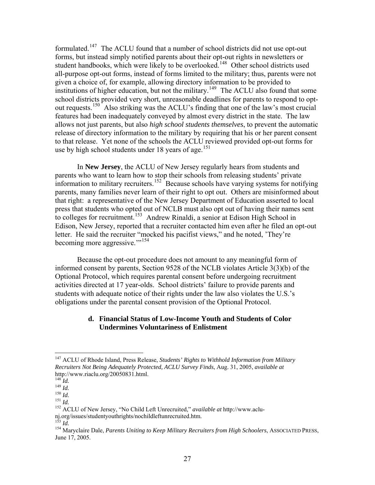<span id="page-28-0"></span>formulated.[147](#page-28-1) The ACLU found that a number of school districts did not use opt-out forms, but instead simply notified parents about their opt-out rights in newsletters or student handbooks, which were likely to be overlooked.<sup>[148](#page-28-2)</sup> Other school districts used all-purpose opt-out forms, instead of forms limited to the military; thus, parents were not given a choice of, for example, allowing directory information to be provided to institutions of higher education, but not the military.<sup>[149](#page-28-3)</sup> The ACLU also found that some school districts provided very short, unreasonable deadlines for parents to respond to optout requests.[150](#page-28-4) Also striking was the ACLU's finding that one of the law's most crucial features had been inadequately conveyed by almost every district in the state. The law allows not just parents, but also *high school students themselves*, to prevent the automatic release of directory information to the military by requiring that his or her parent consent to that release. Yet none of the schools the ACLU reviewed provided opt-out forms for use by high school students under 18 years of age.<sup>[151](#page-28-5)</sup>

In **New Jersey**, the ACLU of New Jersey regularly hears from students and parents who want to learn how to stop their schools from releasing students' private information to military recruiters.<sup>[152](#page-28-6)</sup> Because schools have varying systems for notifying parents, many families never learn of their right to opt out. Others are misinformed about that right: a representative of the New Jersey Department of Education asserted to local press that students who opted out of NCLB must also opt out of having their names sent to colleges for recruitment.<sup>[153](#page-28-7)</sup> Andrew Rinaldi, a senior at Edison High School in Edison, New Jersey, reported that a recruiter contacted him even after he filed an opt-out letter. He said the recruiter "mocked his pacifist views," and he noted, 'They're becoming more aggressive.""<sup>154</sup>

Because the opt-out procedure does not amount to any meaningful form of informed consent by parents, Section 9528 of the NCLB violates Article 3(3)(b) of the Optional Protocol, which requires parental consent before undergoing recruitment activities directed at 17 year-olds. School districts' failure to provide parents and students with adequate notice of their rights under the law also violates the U.S.'s obligations under the parental consent provision of the Optional Protocol.

#### **d. Financial Status of Low-Income Youth and Students of Color Undermines Voluntariness of Enlistment**

<span id="page-28-1"></span><sup>147</sup> ACLU of Rhode Island, Press Release, *Students' Rights to Withhold Information from Military Recruiters Not Being Adequately Protected, ACLU Survey Finds*, Aug. 31, 2005, *available at* http://www.riaclu.org/20050831.html.<br><sup>148</sup> Id.

<span id="page-28-4"></span>

<span id="page-28-6"></span><span id="page-28-5"></span>

<span id="page-28-3"></span><span id="page-28-2"></span><sup>149</sup> *Id.*<br>
<sup>149</sup> *Id.*<br>
<sup>150</sup> *Id.*<br>
<sup>151</sup> *Id.*<br>
<sup>152</sup> ACLU of New Jersey, "No Child Left Unrecruited," *available at* http://www.aclunj.org/issues/studentyouthrights/nochildleftunrecruited.htm.  $^{153}$   $\emph{Id}$ 

<span id="page-28-7"></span>

<sup>153</sup> *Id.* 154 Maryclaire Dale, *Parents Uniting to Keep Military Recruiters from High Schoolers*, ASSOCIATED PRESS, June 17, 2005.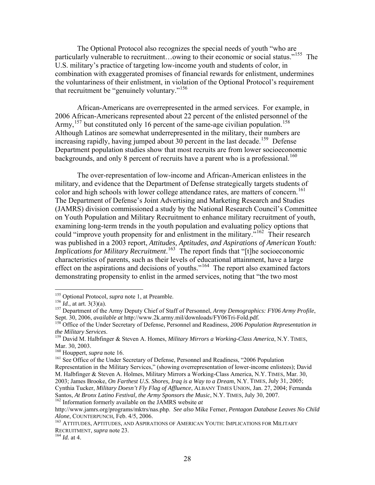The Optional Protocol also recognizes the special needs of youth "who are particularly vulnerable to recruitment...owing to their economic or social status."<sup>[155](#page-29-0)</sup> The U.S. military's practice of targeting low-income youth and students of color, in combination with exaggerated promises of financial rewards for enlistment, undermines the voluntariness of their enlistment, in violation of the Optional Protocol's requirement that recruitment be "genuinely voluntary."<sup>[156](#page-29-1)</sup>

 African-Americans are overrepresented in the armed services. For example, in 2006 African-Americans represented about 22 percent of the enlisted personnel of the Army,  $157$  but constituted only 16 percent of the same-age civilian population.<sup>[158](#page-29-3)</sup> Although Latinos are somewhat underrepresented in the military, their numbers are increasing rapidly, having jumped about 30 percent in the last decade.<sup>[159](#page-29-4)</sup> Defense Department population studies show that most recruits are from lower socioeconomic backgrounds, and only 8 percent of recruits have a parent who is a professional.<sup>[160](#page-29-5)</sup>

The over-representation of low-income and African-American enlistees in the military, and evidence that the Department of Defense strategically targets students of color and high schools with lower college attendance rates, are matters of concern.<sup>[161](#page-29-6)</sup> The Department of Defense's Joint Advertising and Marketing Research and Studies (JAMRS) division commissioned a study by the National Research Council's Committee on Youth Population and Military Recruitment to enhance military recruitment of youth, examining long-term trends in the youth population and evaluating policy options that could "improve youth propensity for and enlistment in the military."<sup>[162](#page-29-7)</sup> Their research was published in a 2003 report, *[Attitudes, Aptitudes, and Aspirations of American Youth:](http://www.nap.edu/books/0309085314/html)  [Implications for Military Recruitment](http://www.nap.edu/books/0309085314/html).*<sup>[163](#page-29-8)</sup> The report finds that "[t]he socioeconomic characteristics of parents, such as their levels of educational attainment, have a large effect on the aspirations and decisions of youths."<sup>[164](#page-29-9)</sup> The report also examined factors demonstrating propensity to enlist in the armed services, noting that "the two most

<span id="page-29-2"></span>

<span id="page-29-1"></span><span id="page-29-0"></span><sup>&</sup>lt;sup>155</sup> Optional Protocol, *supra* note 1, at Preamble.<br><sup>156</sup> *Id.*, at art. 3(3)(a).<br><sup>157</sup> Department of the Army Deputy Chief of Staff of Personnel, *Army Demographics: FY06 Army Profile*,<br>Sept. 30, 2006, *available at htt* 

<span id="page-29-3"></span><sup>&</sup>lt;sup>158</sup> Office of the Under Secretary of Defense, Personnel and Readiness, *2006 Population Representation in the Military Services*.

<span id="page-29-4"></span>*the Military Services*. 159 David M. Halbfinger & Steven A. Homes, *Military Mirrors a Working-Class America*, N.Y. TIMES, Mar. 30, 2003.<br><sup>160</sup> Houppert, *supra* note 16.

<span id="page-29-6"></span><span id="page-29-5"></span><sup>&</sup>lt;sup>161</sup> See Office of the Under Secretary of Defense, Personnel and Readiness, "2006 Population Representation in the Military Services," (showing overrepresentation of lower-income enlistees); David M. Halbfinger & Steven A. Holmes, Military Mirrors a Working-Class America, N.Y. TIMES, Mar. 30, 2003; James Brooke, *On Farthest U.S. Shores, Iraq is a Way to a Dream*, N.Y. TIMES, July 31, 2005; Cynthia Tucker, *Military Doesn't Fly Flag of Affluence*, ALBANY TIMES UNION, Jan. 27, 2004; Fernanda Santos, *At Bronx Latino Festival, the Army Sponsors the Music*, N.Y. TIMES, July 30, 2007. 162 Information formerly available on the JAMRS website *at*

<span id="page-29-7"></span>http://www.jamrs.org/programs/mktrs/nas.php. *See also* Mike Ferner, *Pentagon Database Leaves No Child Alone*, COUNTERPUNCH, Feb. 4/5, 2006.<br><sup>163</sup> ATTITUDES, APTITUDES, AND ASPIRATIONS OF AMERICAN YOUTH: IMPLICATIONS FOR MILITARY

<span id="page-29-9"></span><span id="page-29-8"></span>RECRUITMENT, *supra* note 23. 164 *Id.* at 4.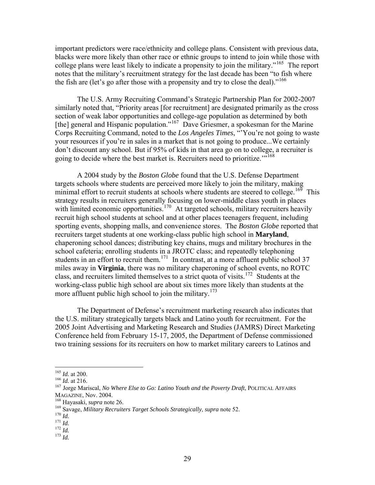important predictors were race/ethnicity and college plans. Consistent with previous data, blacks were more likely than other race or ethnic groups to intend to join while those with college plans were least likely to indicate a propensity to join the military."<sup>[165](#page-30-0)</sup> The report notes that the military's recruitment strategy for the last decade has been "to fish where the fish are (let's go after those with a propensity and try to close the deal)."<sup>[166](#page-30-1)</sup>

The U.S. Army Recruiting Command's Strategic Partnership Plan for 2002-2007 similarly noted that, "Priority areas [for recruitment] are designated primarily as the cross section of weak labor opportunities and college-age population as determined by both [the] general and Hispanic population."<sup>[167](#page-30-2)</sup> Dave Griesmer, a spokesman for the Marine Corps Recruiting Command, noted to the *Los Angeles Times*, "'You're not going to waste your resources if you're in sales in a market that is not going to produce...We certainly don't discount any school. But if 95% of kids in that area go on to college, a recruiter is going to decide where the best market is. Recruiters need to prioritize.<sup>"[168](#page-30-3)</sup>

A 2004 study by the *Boston Globe* found that the U.S. Defense Department targets schools where students are perceived more likely to join the military, making minimal effort to recruit students at schools where students are steered to college.<sup>[169](#page-30-4)</sup> This strategy results in recruiters generally focusing on lower-middle class youth in places with limited economic opportunities.<sup>[170](#page-30-5)</sup> At targeted schools, military recruiters heavily recruit high school students at school and at other places teenagers frequent, including sporting events, shopping malls, and convenience stores. The *Boston Globe* reported that recruiters target students at one working-class public high school in **Maryland**, chaperoning school dances; distributing key chains, mugs and military brochures in the school cafeteria; enrolling students in a JROTC class; and repeatedly telephoning students in an effort to recruit them.<sup>[171](#page-30-6)</sup> In contrast, at a more affluent public school 37 miles away in **Virginia**, there was no military chaperoning of school events, no ROTC class, and recruiters limited themselves to a strict quota of visits.<sup>[172](#page-30-7)</sup> Students at the working-class public high school are about six times more likely than students at the more affluent public high school to join the military.<sup>[173](#page-30-8)</sup>

The Department of Defense's recruitment marketing research also indicates that the U.S. military strategically targets black and Latino youth for recruitment. For the 2005 Joint Advertising and Marketing Research and Studies (JAMRS) Direct Marketing Conference held from February 15-17, 2005, the Department of Defense commissioned two training sessions for its recruiters on how to market military careers to Latinos and

 $165$  *Id.* at 200.

<span id="page-30-2"></span><span id="page-30-1"></span><span id="page-30-0"></span><sup>165</sup> *Id.* at 200. 166 *Id.* at 216. 167 Jorge Mariscal, *No Where Else to Go: Latino Youth and the Poverty Draft*, POLITICAL AFFAIRS MAGAZINE, Nov. 2004.<br><sup>168</sup> Hayasaki, *supra* note 26.<br><sup>169</sup> Savage, *Military Recruiters Target Schools Strategically*, *supra* note 52.<br><sup>170</sup> *Id.*<br><sup>171</sup> *Id.* <sup>172</sup> *Id.* <sup>173</sup> *Id*.

<span id="page-30-3"></span>

<span id="page-30-5"></span><span id="page-30-4"></span>

<span id="page-30-7"></span><span id="page-30-6"></span>

<span id="page-30-8"></span>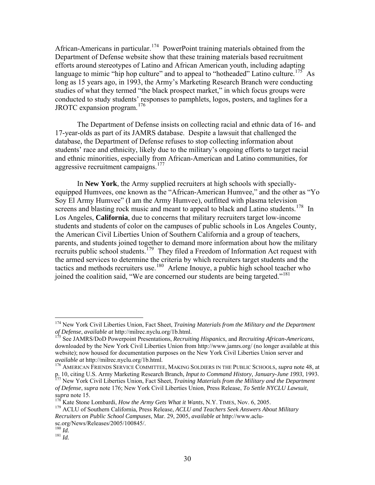African-Americans in particular.<sup>[174](#page-31-0)</sup> PowerPoint training materials obtained from the Department of Defense website show that these training materials based recruitment efforts around stereotypes of Latino and African American youth, including adapting language to mimic "hip hop culture" and to appeal to "hotheaded" Latino culture.<sup>[175](#page-31-1)</sup> As long as 15 years ago, in 1993, the Army's Marketing Research Branch were conducting studies of what they termed "the black prospect market," in which focus groups were conducted to study students' responses to pamphlets, logos, posters, and taglines for a JROTC expansion program.[176](#page-31-2)

The Department of Defense insists on collecting racial and ethnic data of 16- and 17-year-olds as part of its JAMRS database. Despite a lawsuit that challenged the database, the Department of Defense refuses to stop collecting information about students' race and ethnicity, likely due to the military's ongoing efforts to target racial and ethnic minorities, especially from African-American and Latino communities, for aggressive recruitment campaigns.<sup>[177](#page-31-3)</sup>

In **New York**, the Army supplied recruiters at high schools with speciallyequipped Humvees, one known as the "African-American Humvee," and the other as "Yo Soy El Army Humvee" (I am the Army Humvee), outfitted with plasma television screens and blasting rock music and meant to appeal to black and Latino students.<sup>[178](#page-31-4)</sup> In Los Angeles, **California**, due to concerns that military recruiters target low-income students and students of color on the campuses of public schools in Los Angeles County, the American Civil Liberties Union of Southern California and a group of teachers, parents, and students joined together to demand more information about how the military recruits public school students.[179](#page-31-5) They filed a Freedom of Information Act request with the armed services to determine the criteria by which recruiters target students and the tactics and methods recruiters use.<sup>[180](#page-31-6)</sup> Arlene Inouye, a public high school teacher who joined the coalition said, "We are concerned our students are being targeted."<sup>[181](#page-31-7)</sup>

<span id="page-31-0"></span><sup>174</sup> New York Civil Liberties Union, Fact Sheet, *Training Materials from the Military and the Department of Defense*, *available at* http://milrec.nyclu.org/1b.html. 175 See JAMRS/DoD Powerpoint Presentations, *Recruiting Hispanics*, and *Recruiting African-Americans*,

<span id="page-31-1"></span>downloaded by the New York Civil Liberties Union from http://www.jamrs.org/ (no longer available at this website); now housed for documentation purposes on the New York Civil Liberties Union server and *available at* http://milrec.nyclu.org/1b.html. 176 AMERICAN FRIENDS SERVICE COMMITTEE, MAKING SOLDIERS IN THE PUBLIC SCHOOLS, *supra* note 48, at

<span id="page-31-2"></span>p. 10, citing U.S. Army Marketing Research Branch*, Input to Command History, January-June 1993*, 1993. 177 New York Civil Liberties Union, Fact Sheet, *Training Materials from the Military and the Department* 

<span id="page-31-3"></span>*of Defense*, *supra* note 176; New York Civil Liberties Union, Press Release, *To Settle NYCLU Lawsuit*,

<span id="page-31-5"></span><span id="page-31-4"></span><sup>&</sup>lt;sup>178</sup> Kate Stone Lombardi, *How the Army Gets What it Wants*, N.Y. TIMES, Nov. 6, 2005.<br><sup>179</sup> ACLU of Southern California, Press Release, *ACLU and Teachers Seek Answers About Military Recruiters on Public School Campuses*, Mar. 29, 2005, *available at* http://www.aclu-

<span id="page-31-7"></span><span id="page-31-6"></span>sc.org/News/Releases/2005/100845/. 180 *Id.* <sup>181</sup> *Id.*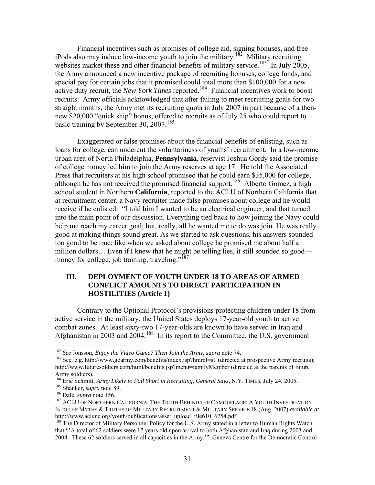<span id="page-32-0"></span>Financial incentives such as promises of college aid, signing bonuses, and free iPods also may induce low-income youth to join the military.<sup>[182](#page-32-1)</sup> Military recruiting websites market these and other financial benefits of military service.<sup>[183](#page-32-2)</sup> In July 2005, the Army announced a new incentive package of recruiting bonuses, college funds, a nd special pay for certain jobs that it promised could total more than \$100,000 for a new active duty recruit, the *New York Times* reported. [184](#page-32-3) Financial incentives work to boost recruits: Army officials acknowledged that after failing to meet recruiting goals for two straight months, the Army met its recruiting quota in July 2007 in part because of a thennew \$20,000 "quick ship" bonus, offered to recruits as of July 25 who could report to basic training by September 30, 2007.<sup>[185](#page-32-4)</sup>

Exaggerated or false promises about the financial benefits of enlisting, such as loans for college, can undercut the voluntariness of youths' recruitment. In a low-income urban area of North Philadelphia, **Pennsylvania**, reservist Joshua Gordy said the promise of college money led him to join the Army reserves at age 17. He told the Associated Press that recruiters at his high school promised that he could earn \$35,000 for college, although he has not received the promised financial support.<sup>[186](#page-32-5)</sup> Alberto Gomez, a high school student in Northern **California**, reported to the ACLU of Northern California that at recruitment center, a Navy recruiter made false promises about college aid he would receive if he enlisted: "I told him I wanted to be an electrical engineer, and that turned into the main point of our discussion. Everything tied back to how joining the Navy could help me reach my career goal; but, really, all he wanted me to do was join. He was really good at making things sound great. As we started to ask questions, his answers sounded too good to be true; like when we asked about college he promised me about half a million dollars… Even if I knew that he might be telling lies, it still sounded so good— money for college, job training, traveling."<sup>[187](#page-32-6)</sup>

#### **III. DEPLOYMENT OF YOUTH UNDER 18 TO AREAS OF ARMED CONFLICT AMOUNTS TO DIRECT PARTICIPATION IN HOSTILITIES (Article 1)**

Contrary to the Optional Protocol's provisions protecting children under 18 from active service in the military, the United States deploys 17-year-old youth to active combat zones. At least sixty-two 17-year-olds are known to have served in Iraq and Afghanistan in 2003 and 2004.[188](#page-32-7) In its report to the Committee, the U.S. government

 $182$  See Jonsson, *Enjoy the Video Game? Then Join the Army*, *supra* note 74.

<span id="page-32-2"></span><span id="page-32-1"></span><sup>&</sup>lt;sup>183</sup> See, e.g. http://www.goarmy.com/benefits/index.jsp?hmref=s1 (directed at prospective Army recruits); http://www.futuresoldiers.com/html/benefits.jsp?menu=familyMember (directed at the parents of future Army soldiers).<br><sup>184</sup> Eric Schmitt, *Army Likely to Fall Short in Recruiting, General Says, N.Y. TIMES, July 24, 2005.* 

<span id="page-32-6"></span>

<span id="page-32-5"></span><span id="page-32-4"></span><span id="page-32-3"></span><sup>&</sup>lt;sup>185</sup> Shanker, *supra* note 89.<br><sup>186</sup> Dale, *supra* note 156.<br><sup>187</sup> ACLU OF NORTHERN CALIFORNIA, THE TRUTH BEHIND THE CAMOUFLAGE: A YOUTH INVESTIGATION INTO THE MYTHS & TRUTHS OF MILITARY RECRUITMENT & MILITARY SERVICE 18 (Aug. 2007) *available at* http://www.aclunc.org/youth/publications/asset\_upload\_file610\_6754.pdf.

<span id="page-32-7"></span> $188$  The Director of Military Personnel Policy for the U.S. Army stated in a letter to Human Rights Watch that "'A total of 62 soldiers were 17 years old upon arrival to both Afghanistan and Iraq during 2003 and 2004. These 62 soldiers served in all capacities in the Army.'" Geneva Centre for the Democratic Control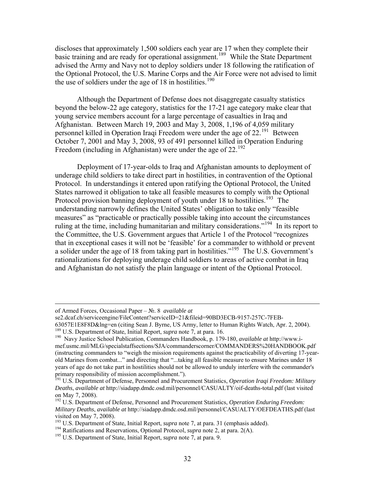discloses that approximately 1,500 soldiers each year are 17 when they complete their basic training and are ready for operational assignment.<sup>[189](#page-33-0)</sup> While the State Department advised the Army and Navy not to deploy soldiers under 18 following the ratification of the Optional Protocol, the U.S. Marine Corps and the Air Force were not advised to limit the use of soldiers under the age of 18 in hostilities.<sup>[190](#page-33-1)</sup>

Although the Department of Defense does not disaggregate casualty statistics beyond the below-22 age category, statistics for the 17-21 age category make clear that young service members account for a large percentage of casualties in Iraq and Afghanistan. Between March 19, 2003 and May 3, 2008, 1,196 of 4,059 military personnel killed in Operation Iraqi Freedom were under the age of 22.[191](#page-33-2) Between October 7, 2001 and May 3, 2008, 93 of 491 personnel killed in Operation Enduring Freedom (including in Afghanistan) were under the age of  $22.^{192}$  $22.^{192}$  $22.^{192}$ 

Deployment of 17-year-olds to Iraq and Afghanistan amounts to deployment of underage child soldiers to take direct part in hostilities, in contravention of the Optional Protocol. In understandings it entered upon ratifying the Optional Protocol, the United States narrowed it obligation to take all feasible measures to comply with the Optional Protocol provision banning deployment of youth under 18 to hostilities.<sup>[193](#page-33-4)</sup> The understanding narrowly defines the United States' obligation to take only "feasible measures" as "practicable or practically possible taking into account the circumstances ruling at the time, including humanitarian and military considerations."<sup>[194](#page-33-5)</sup> In its report to the Committee, the U.S. Government argues that Article 1 of the Protocol "recognizes that in exceptional cases it will not be 'feasible' for a commander to withhold or prevent a solider under the age of 18 from taking part in hostilities."[195](#page-33-6) The U.S. Government's rationalizations for deploying underage child soldiers to areas of active combat in Iraq and Afghanistan do not satisfy the plain language or intent of the Optional Protocol.

of Armed Forces, Occasional Paper – №. 8 *available at*

se2.dcaf.ch/serviceengine/FileContent?serviceID=21&fileid=90BD3ECB-9157-257C-7FEB-

<sup>63057</sup>E1E8F8D&lng=en (citing Sean J. Byrne, US Army, letter to Human Rights Watch, Apr. 2, 2004).<br><sup>189</sup> U.S. Department of State, Initial Report, *supra* note 7, at para. 16.

<span id="page-33-1"></span><span id="page-33-0"></span><sup>&</sup>lt;sup>190</sup> Navy Justice School Publication, Commanders Handbook, p. 179-180, *available at* http://www.imef.usmc.mil/MLG/specialstaffsections/SJA/commanderscorner/COMMANDERS%20HANDBOOK.pdf (instructing commanders to "weigh the mission requirements against the practicability of diverting 17-yearold Marines from combat..." and directing that "...taking all feasible measure to ensure Marines under 18 years of age do not take part in hostilities should not be allowed to unduly interfere with the commander's primary responsibility of mission accomplishment.").

<span id="page-33-2"></span><sup>191</sup> U.S. Department of Defense, Personnel and Procurement Statistics, *Operation Iraqi Freedom: Military Deaths*, *available at* http://siadapp.dmdc.osd.mil/personnel/CASUALTY/oif-deaths-total.pdf (last visited on May 7, 2008).

<span id="page-33-3"></span><sup>192</sup> U.S. Department of Defense, Personnel and Procurement Statistics, *Operation Enduring Freedom: Military Deaths*, *available at* http://siadapp.dmdc.osd.mil/personnel/CASUALTY/OEFDEATHS.pdf (last visited on May 7, 2008).<br><sup>193</sup> U.S. Department of State, Initial Report, *supra* note 7, at para. 31 (emphasis added).

<span id="page-33-6"></span><span id="page-33-5"></span><span id="page-33-4"></span><sup>&</sup>lt;sup>194</sup> Ratifications and Reservations, Optional Protocol, *supra* note 2, at para. 2(A).<br><sup>195</sup> U.S. Department of State, Initial Report, *supra* note 7, at para. 9.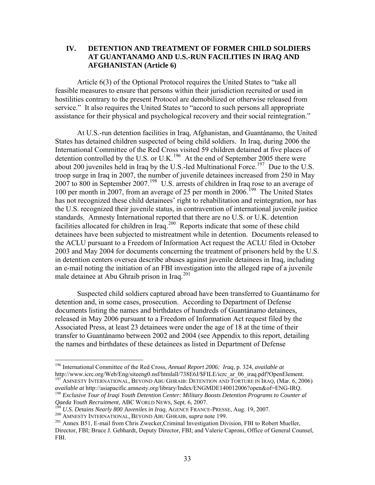## <span id="page-34-0"></span>**IV. DETENTION AND TREATMENT OF FORMER CHILD SOLDIERS AT GUANTANAMO AND U.S.-RUN FACILITIES IN IRAQ AND AFGHANISTAN (Article 6)**

Article 6(3) of the Optional Protocol requires the United States to "take all feasible measures to ensure that persons within their jurisdiction recruited or used in hostilities contrary to the present Protocol are demobilized or otherwise released from service." It also requires the United States to "accord to such persons all appropriate assistance for their physical and psychological recovery and their social reintegration."

 At U.S.-run detention facilities in Iraq, Afghanistan, and Guantánamo, the United States has detained children suspected of being child soldiers. In Iraq, during 2006 the International Committee of the Red Cross visited 59 children detained at five places of detention controlled by the U.S. or U.K.<sup>[196](#page-34-1)</sup> At the end of September 2005 there were about 200 juveniles held in Iraq by the U.S.-led Multinational Force.<sup>[197](#page-34-2)</sup> Due to the U.S. troop surge in Iraq in 2007, the number of juvenile detainees increased from 250 in May 2007 to 800 in September 2007.<sup>[198](#page-34-3)</sup> U.S. arrests of children in Iraq rose to an average of 100 per month in 2007, from an average of 25 per month in 2006.<sup>[199](#page-34-4)</sup> The United States has not recognized these child detainees' right to rehabilitation and reintegration, nor has the U.S. recognized their juvenile status, in contravention of international juvenile justice standards. Amnesty International reported that there are no U.S. or U.K. detention facilities allocated for children in Iraq.<sup>[200](#page-34-5)</sup> Reports indicate that some of these child detainees have been subjected to mistreatment while in detention. Documents released to the ACLU pursuant to a Freedom of Information Act request the ACLU filed in October 2003 and May 2004 for documents concerning the treatment of prisoners held by the U.S. in detention centers oversea describe abuses against juvenile detainees in Iraq, including an e-mail noting the initiation of an FBI investigation into the alleged rape of a juvenile male detainee at Abu Ghraib prison in Iraq. $^{201}$  $^{201}$  $^{201}$ 

 Suspected child soldiers captured abroad have been transferred to Guantánamo for detention and, in some cases, prosecution. According to Department of Defense documents listing the names and birthdates of hundreds of Guantánamo detainees, released in May 2006 pursuant to a Freedom of Information Act request filed by the Associated Press, at least 23 detainees were under the age of 18 at the time of their transfer to Guantánamo between 2002 and 2004 (see Appendix to this report, detailing the names and birthdates of these detainees as listed in Department of Defense

<span id="page-34-1"></span><sup>196</sup> International Committee of the Red Cross, *Annual Report 2006: Iraq*, p. 324, *available at*

<span id="page-34-2"></span> $\frac{197}{197}$ AMNESTY INTERNATIONAL, BEYOND ABU GHRAIB: DETENTION AND TORTURE IN IRAQ, (Mar. 6, 2006) *available at* http://asiapacific.amnesty.org/library/Index/ENGMDE140012006?open&of=ENG-IRQ. 198 *Exclusive Tour of Iraqi Youth Detention Center: Military Boosts Detention Programs to Counter al* 

<span id="page-34-6"></span>

<span id="page-34-5"></span><span id="page-34-4"></span><span id="page-34-3"></span> $^{199}$  U.S. Detains Nearly 800 Juveniles in Iraq, AGENCE FRANCE-PRESSE, Aug. 19, 2007.<br><sup>200</sup> AMNESTY INTERNATIONAL, BEYOND ABU GHRAIB, *supra* note 199.<br><sup>201</sup> Annex B51, E-mail from Chris Zwecker, Criminal Investigation Director, FBI; Bruce J. Gebhardt, Deputy Director, FBI; and Valerie Caproni, Office of General Counsel, FBI.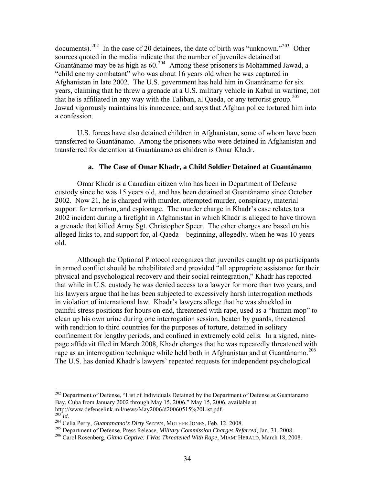<span id="page-35-0"></span>documents).<sup>[202](#page-35-1)</sup> In the case of 20 detainees, the date of birth was "unknown."<sup>[203](#page-35-2)</sup> Other sources quoted in the media indicate that the number of juveniles detained at Guantánamo may be as high as  $60.^{204}$  $60.^{204}$  $60.^{204}$  Among these prisoners is Mohammed Jawad, a "child enemy combatant" who was about 16 years old when he was captured in Afghanistan in late 2002. The U.S. government has held him in Guantánamo for six years, claiming that he threw a grenade at a U.S. military vehicle in Kabul in wartime, not that he is affiliated in any way with the Taliban, al Qaeda, or any terrorist group.<sup>[205](#page-35-4)</sup> Jawad vigorously maintains his innocence, and says that Afghan police tortured him into a confession.

U.S. forces have also detained children in Afghanistan, some of whom have been transferred to Guantánamo. Among the prisoners who were detained in Afghanistan and transferred for detention at Guantánamo as children is Omar Khadr.

#### **a. The Case of Omar Khadr, a Child Soldier Detained at Guantánamo**

Omar Khadr is a Canadian citizen who has been in Department of Defense custody since he was 15 years old, and has been detained at Guantánamo since October 2002. Now 21, he is charged with murder, attempted murder, conspiracy, material support for terrorism, and espionage. The murder charge in Khadr's case relates to a 2002 incident during a firefight in Afghanistan in which Khadr is alleged to have thrown a grenade that killed Army Sgt. Christopher Speer. The other charges are based on his alleged links to, and support for, al-Qaeda—beginning, allegedly, when he was 10 years old.

Although the Optional Protocol recognizes that juveniles caught up as participants in armed conflict should be rehabilitated and provided "all appropriate assistance for their physical and psychological recovery and their social reintegration," Khadr has reported that while in U.S. custody he was denied access to a lawyer for more than two years, and his lawyers argue that he has been subjected to excessively harsh interrogation methods in violation of international law. Khadr's lawyers allege that he was shackled in painful stress positions for hours on end, threatened with rape, used as a "human mop" to clean up his own urine during one interrogation session, beaten by guards, threatened with rendition to third countries for the purposes of torture, detained in solitary confinement for lengthy periods, and confined in extremely cold cells. In a signed, ninepage affidavit filed in March 2008, Khadr charges that he was repeatedly threatened with rape as an interrogation technique while held both in Afghanistan and at Guantánamo.<sup>[206](#page-35-5)</sup> The U.S. has denied Khadr's lawyers' repeated requests for independent psychological

<span id="page-35-1"></span><sup>&</sup>lt;sup>202</sup> Department of Defense, "List of Individuals Detained by the Department of Defense at Guantanamo Bay, Cuba from January 2002 through May 15, 2006," May 15, 2006, available at http://www.defenselink.mil/news/May2006/d20060515%20List.pdf.<br><sup>203</sup> Id.<br><sup>204</sup> Celia Perry, *Guantanamo's Dirty Secrets*, MOTHER JONES, Feb. 12. 2008.<br><sup>205</sup> Department of Defense, Press Release, *Military Commission Charges* 

<span id="page-35-2"></span>

<span id="page-35-3"></span>

<span id="page-35-4"></span>

<span id="page-35-5"></span>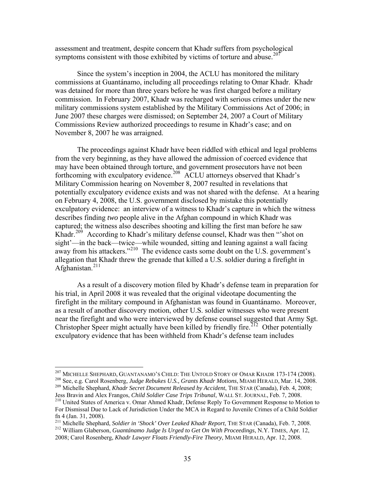assessment and treatment, despite concern that Khadr suffers from psychological symptoms consistent with those exhibited by victims of torture and abuse.<sup>[207](#page-36-0)</sup>

Since the system's inception in 2004, the ACLU has monitored the military commissions at Guantánamo, including all proceedings relating to Omar Khadr. Khadr was detained for more than three years before he was first charged before a military commission. In February 2007, Khadr was recharged with serious crimes under the new military commissions system established by the Military Commissions Act of 2006; in June 2007 these charges were dismissed; on September 24, 2007 a Court of Military Commissions Review authorized proceedings to resume in Khadr's case; and on November 8, 2007 he was arraigned.

The proceedings against Khadr have been riddled with ethical and legal problems from the very beginning, as they have allowed the admission of coerced evidence that may have been obtained through torture, and government prosecutors have not been forthcoming with exculpatory evidence.<sup>[208](#page-36-1)</sup> ACLU attorneys observed that Khadr's Military Commission hearing on November 8, 2007 resulted in revelations that potentially exculpatory evidence exists and was not shared with the defense. At a hearing on February 4, 2008, the U.S. government disclosed by mistake this potentially exculpatory evidence: an interview of a witness to Khadr's capture in which the witness describes finding *two* people alive in the Afghan compound in which Khadr was captured; the witness also describes shooting and killing the first man before he saw Khadr.<sup>[209](#page-36-2)</sup> According to Khadr's military defense counsel, Khadr was then "'shot on sight'—in the back—twice—while wounded, sitting and leaning against a wall facing away from his attackers." $2^{10}$  The evidence casts some doubt on the U.S. government's allegation that Khadr threw the grenade that killed a U.S. soldier during a firefight in Afghanistan. $211$ 

As a result of a discovery motion filed by Khadr's defense team in preparation for his trial, in April 2008 it was revealed that the original videotape documenting the firefight in the military compound in Afghanistan was found in Guantánamo. Moreover, as a result of another discovery motion, other U.S. soldier witnesses who were present near the firefight and who were interviewed by defense counsel suggested that Army Sgt. Christopher Speer might actually have been killed by friendly fire.<sup>[212](#page-36-5)</sup> Other potentially exculpatory evidence that has been withheld from Khadr's defense team includes

<span id="page-36-1"></span><span id="page-36-0"></span><sup>&</sup>lt;sup>207</sup> MICHELLE SHEPHARD, GUANTANAMO'S CHILD: THE UNTOLD STORY OF OMAR KHADR 173-174 (2008).<br><sup>208</sup> See, e.g. Carol Rosenberg, *Judge Rebukes U.S., Grants Khadr Motions*, MIAMI HERALD, Mar. 14, 2008.<br><sup>209</sup> Michelle Shephard,

<span id="page-36-3"></span><span id="page-36-2"></span><sup>&</sup>lt;sup>210</sup> United States of America v. Omar Ahmed Khadr, Defense Reply To Government Response to Motion to For Dismissal Due to Lack of Jurisdiction Under the MCA in Regard to Juvenile Crimes of a Child Soldier

<span id="page-36-4"></span>fn 4 (Jan. 31, 2008).<br><sup>211</sup> Michelle Shephard, Soldier in 'Shock' Over Leaked Khadr Report, THE STAR (Canada), Feb. 7, 2008. <sup>212</sup> William Glaberson, *Guantánamo Judge Is Urged to Get On With Proceedings*, N.Y. TIMES, Apr. 12,

<span id="page-36-5"></span><sup>2008;</sup> Carol Rosenberg, *Khadr Lawyer Floats Friendly-Fire Theory*, MIAMI HERALD, Apr. 12, 2008.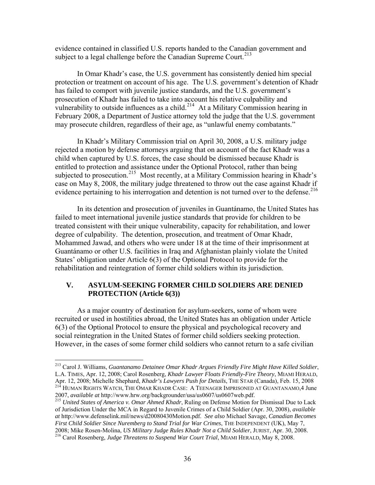<span id="page-37-0"></span>evidence contained in classified U.S. reports handed to the Canadian government and subject to a legal challenge before the Canadian Supreme Court.<sup>[213](#page-37-1)</sup>

In Omar Khadr's case, the U.S. government has consistently denied him special protection or treatment on account of his age. The U.S. government's detention of Khadr has failed to comport with juvenile justice standards, and the U.S. government's prosecution of Khadr has failed to take into account his relative culpability and vulnerability to outside influences as a child.<sup>[214](#page-37-2)</sup> At a Military Commission hearing in February 2008, a Department of Justice attorney told the judge that the U.S. government may prosecute children, regardless of their age, as "unlawful enemy combatants."

In Khadr's Military Commission trial on April 30, 2008, a U.S. military judge rejected a motion by defense attorneys arguing that on account of the fact Khadr was a child when captured by U.S. forces, the case should be dismissed because Khadr is entitled to protection and assistance under the Optional Protocol, rather than being subjected to prosecution.<sup>[215](#page-37-3)</sup> Most recently, at a Military Commission hearing in Khadr's case on May 8, 2008, the military judge threatened to throw out the case against Khadr if evidence pertaining to his interrogation and detention is not turned over to the defense.<sup>[216](#page-37-4)</sup>

In its detention and prosecution of juveniles in Guantánamo, the United States has failed to meet international juvenile justice standards that provide for children to be treated consistent with their unique vulnerability, capacity for rehabilitation, and lower degree of culpability. The detention, prosecution, and treatment of Omar Khadr, Mohammed Jawad, and others who were under 18 at the time of their imprisonment at Guantánamo or other U.S. facilities in Iraq and Afghanistan plainly violate the United States' obligation under Article 6(3) of the Optional Protocol to provide for the rehabilitation and reintegration of former child soldiers within its jurisdiction.

# **V. ASYLUM-SEEKING FORMER CHILD SOLDIERS ARE DENIED PROTECTION (Article 6(3))**

As a major country of destination for asylum-seekers, some of whom were recruited or used in hostilities abroad, the United States has an obligation under Article 6(3) of the Optional Protocol to ensure the physical and psychological recovery and social reintegration in the United States of former child soldiers seeking protection. However, in the cases of some former child soldiers who cannot return to a safe civilian

<span id="page-37-1"></span><sup>213</sup> Carol J. Williams, *Guantanamo Detainee Omar Khadr Argues Friendly Fire Might Have Killed Soldier*, L.A. TIMES, Apr. 12, 2008; Carol Rosenberg, *Khadr Lawyer Floats Friendly-Fire Theory*, MIAMI HERALD, <sup>214</sup> HUMAN RIGHTS WATCH, THE OMAR KHADR CASE: A TEENAGER IMPRISONED AT GUANTANAMO, 4 June 2007, *available at http://www.hrw.org/backgrounder/usa/us0607/us0607web.pdf.* 

<span id="page-37-3"></span><span id="page-37-2"></span><sup>&</sup>lt;sup>215</sup> United States of America v. Omar Ahmed Khadr, Ruling on Defense Motion for Dismissal Due to Lack of Jurisdiction Under the MCA in Regard to Juvenile Crimes of a Child Soldier (Apr. 30, 2008), *available at* http://www.defenselink.mil/news/d20080430Motion.pdf. *See also* Michael Savage, *Canadian Becomes First Child Soldier Since Nuremberg to Stand Trial for War Crimes*, THE INDEPENDENT (UK), May 7, 2008; Mike Rosen-Molina, *US Military Judge Rules Khadr Not a Child Soldier*, JURIST, Apr. 30, 2008. 216 Carol Rosenberg, *Judge Threatens to Suspend War Court Trial*, MIAMI HERALD, May 8, 2008.

<span id="page-37-4"></span>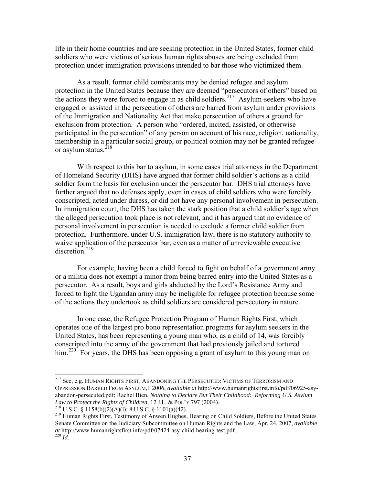life in their home countries and are seeking protection in the United States, former child soldiers who were victims of serious human rights abuses are being excluded from protection under immigration provisions intended to bar those who victimized them.

As a result, former child combatants may be denied refugee and asylum protection in the United States because they are deemed "persecutors of others" based on the actions they were forced to engage in as child soldiers.<sup>[217](#page-38-0)</sup> Asylum-seekers who have engaged or assisted in the persecution of others are barred from asylum under provisions of the Immigration and Nationality Act that make persecution of others a ground for exclusion from protection. A person who "ordered, incited, assisted, or otherwise participated in the persecution" of any person on account of his race, religion, nationality, membership in a particular social group, or political opinion may not be granted refugee or asylum status. $^{218}$  $^{218}$  $^{218}$ 

With respect to this bar to asylum, in some cases trial attorneys in the Department of Homeland Security (DHS) have argued that former child soldier's actions as a child soldier form the basis for exclusion under the persecutor bar. DHS trial attorneys have further argued that no defenses apply, even in cases of child soldiers who were forcibly conscripted, acted under duress, or did not have any personal involvement in persecution. In immigration court, the DHS has taken the stark position that a child soldier's age when the alleged persecution took place is not relevant, and it has argued that no evidence of personal involvement in persecution is needed to exclude a former child soldier from protection. Furthermore, under U.S. immigration law, there is no statutory authority to waive application of the persecutor bar, even as a matter of unreviewable executive  $di**section**$ <sup>[219](#page-38-2)</sup>

For example, having been a child forced to fight on behalf of a government army or a militia does not exempt a minor from being barred entry into the United States as a persecutor. As a result, boys and girls abducted by the Lord's Resistance Army and forced to fight the Ugandan army may be ineligible for refugee protection because some of the actions they undertook as child soldiers are considered persecutory in nature.

In one case, the Refugee Protection Program of Human Rights First, which operates one of the largest pro bono representation programs for asylum seekers in the United States, has been representing a young man who, as a child of 14, was forcibly conscripted into the army of the government that had previously jailed and tortured him.<sup>[220](#page-38-3)</sup> For years, the DHS has been opposing a grant of asylum to this young man on

<span id="page-38-0"></span><sup>&</sup>lt;sup>217</sup> See, e.g. HUMAN RIGHTS FIRST, ABANDONING THE PERSECUTED: VICTIMS OF TERRORISM AND OPPRESSION BARRED FROM ASYLUM,1 2006, *available at* http://www.humanrightsfirst.info/pdf/06925-asyabandon-persecuted.pdf; Rachel Bien, *Nothing to Declare But Their Childhood: Reforming U.S. Asylum Law to Protect the Rights of Children, 12 J.L. & POL'Y 797 (2004).* 

<span id="page-38-3"></span>

<span id="page-38-2"></span><span id="page-38-1"></span><sup>&</sup>lt;sup>218</sup> U.S.C. § 1158(b)(2)(A)(i); 8 U.S.C. § 1101(a)(42).<br><sup>219</sup> Human Rights First, Testimony of Anwen Hughes, Hearing on Child Soldiers, Before the United States Senate Committee on the Judiciary Subcommittee on Human Rights and the Law, Apr. 24, 2007, *available at* http://www.humanrightsfirst.info/pdf/07424-asy-child-hearing-test.pdf. <sup>220</sup> *Id.*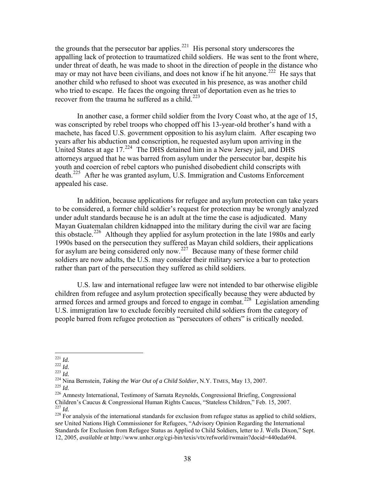the grounds that the persecutor bar applies.<sup>[221](#page-39-0)</sup> His personal story underscores the appalling lack of protection to traumatized child soldiers. He was sent to the front where, under threat of death, he was made to shoot in the direction of people in the distance who may or may not have been civilians, and does not know if he hit anyone.<sup>[222](#page-39-1)</sup> He says that another child who refused to shoot was executed in his presence, as was another child who tried to escape. He faces the ongoing threat of deportation even as he tries to recover from the trauma he suffered as a child.<sup>[223](#page-39-2)</sup>

In another case, a former child soldier from the Ivory Coast who, at the age of 15, was conscripted by rebel troops who chopped off his 13-year-old brother's hand with a machete, has faced U.S. government opposition to his asylum claim. After escaping two years after his abduction and conscription, he requested asylum upon arriving in the United States at age  $17.^{224}$  $17.^{224}$  $17.^{224}$  The DHS detained him in a New Jersey jail, and DHS attorneys argued that he was barred from asylum under the persecutor bar, despite his youth and coercion of rebel captors who punished disobedient child conscripts with death.<sup>[225](#page-39-4)</sup> After he was granted asylum, U.S. Immigration and Customs Enforcement appealed his case.

In addition, because applications for refugee and asylum protection can take years to be considered, a former child soldier's request for protection may be wrongly analyzed under adult standards because he is an adult at the time the case is adjudicated. Many Mayan Guatemalan children kidnapped into the military during the civil war are facing this obstacle.<sup>[226](#page-39-5)</sup> Although they applied for asylum protection in the late 1980s and early 1990s based on the persecution they suffered as Mayan child soldiers, their applications for asylum are being considered only now.<sup>[227](#page-39-6)</sup> Because many of these former child soldiers are now adults, the U.S. may consider their military service a bar to protection rather than part of the persecution they suffered as child soldiers.

U.S. law and international refugee law were not intended to bar otherwise eligible children from refugee and asylum protection specifically because they were abducted by armed forces and armed groups and forced to engage in combat.<sup>[228](#page-39-7)</sup> Legislation amending U.S. immigration law to exclude forcibly recruited child soldiers from the category of people barred from refugee protection as "persecutors of others" is critically needed.

<span id="page-39-0"></span> $^{221}$  *Id.* 

<span id="page-39-3"></span><span id="page-39-2"></span>

<span id="page-39-5"></span><span id="page-39-4"></span>

<span id="page-39-1"></span><sup>&</sup>lt;sup>222</sup> *Id.*<br><sup>223</sup> *Id.*<br><sup>224</sup> Nina Bernstein, *Taking the War Out of a Child Soldier*, N.Y. TIMES, May 13, 2007.<br><sup>225</sup> *Id.*<br><sup>226</sup> Amnesty International, Testimony of Sarnata Reynolds, Congressional Briefing, Congressiona Children's Caucus & Congressional Human Rights Caucus, "Stateless Children," Feb. 15, 2007.

<span id="page-39-7"></span><span id="page-39-6"></span><sup>&</sup>lt;sup>228</sup> For analysis of the international standards for exclusion from refugee status as applied to child soldiers, *see* United Nations High Commissioner for Refugees, "Advisory Opinion Regarding the International Standards for Exclusion from Refugee Status as Applied to Child Soldiers, letter to J. Wells Dixon," Sept. 12, 2005, *available at* http://www.unhcr.org/cgi-bin/texis/vtx/refworld/rwmain?docid=440eda694.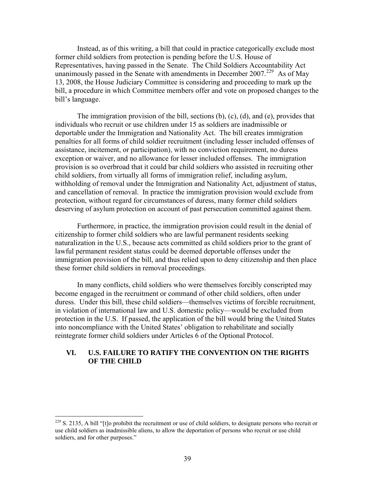<span id="page-40-0"></span>Instead, as of this writing, a bill that could in practice categorically exclude most former child soldiers from protection is pending before the U.S. House of Representatives, having passed in the Senate. The Child Soldiers Accountability Act unanimously passed in the Senate with amendments in December 2007.<sup>[229](#page-40-1)</sup> As of May 13, 2008, the House Judiciary Committee is considering and proceeding to mark up the bill, a procedure in which Committee members offer and vote on proposed changes to the bill's language.

The immigration provision of the bill, sections (b), (c), (d), and (e), provides that individuals who recruit or use children under 15 as soldiers are inadmissible or deportable under the Immigration and Nationality Act. The bill creates immigration penalties for all forms of child soldier recruitment (including lesser included offenses of assistance, incitement, or participation), with no conviction requirement, no duress exception or waiver, and no allowance for lesser included offenses. The immigration provision is so overbroad that it could bar child soldiers who assisted in recruiting other child soldiers, from virtually all forms of immigration relief, including asylum, withholding of removal under the Immigration and Nationality Act, adjustment of status, and cancellation of removal. In practice the immigration provision would exclude from protection, without regard for circumstances of duress, many former child soldiers deserving of asylum protection on account of past persecution committed against them.

Furthermore, in practice, the immigration provision could result in the denial of citizenship to former child soldiers who are lawful permanent residents seeking naturalization in the U.S., because acts committed as child soldiers prior to the grant of lawful permanent resident status could be deemed deportable offenses under the immigration provision of the bill, and thus relied upon to deny citizenship and then place these former child soldiers in removal proceedings.

In many conflicts, child soldiers who were themselves forcibly conscripted may become engaged in the recruitment or command of other child soldiers, often under duress. Under this bill, these child soldiers—themselves victims of forcible recruitment, in violation of international law and U.S. domestic policy—would be excluded from protection in the U.S. If passed, the application of the bill would bring the United States into noncompliance with the United States' obligation to rehabilitate and socially reintegrate former child soldiers under Articles 6 of the Optional Protocol.

#### **VI. U.S. FAILURE TO RATIFY THE CONVENTION ON THE RIGHTS OF THE CHILD**

<span id="page-40-1"></span> $229$  S. 2135, A bill "[t]o prohibit the recruitment or use of child soldiers, to designate persons who recruit or use child soldiers as inadmissible aliens, to allow the deportation of persons who recruit or use child soldiers, and for other purposes."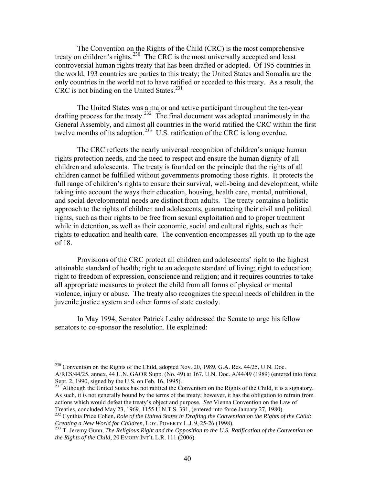The Convention on the Rights of the Child (CRC) is the most comprehensive treaty on children's rights.<sup>[230](#page-41-0)</sup> The CRC is the most universally accepted and least controversial human rights treaty that has been drafted or adopted. Of 195 countries in the world, 193 countries are parties to this treaty; the United States and Somalia are the only countries in the world not to have ratified or acceded to this treaty. As a result, the CRC is not binding on the United States.<sup>[231](#page-41-1)</sup>

The United States was a major and active participant throughout the ten-year drafting process for the treaty.[232](#page-41-2) The final document was adopted unanimously in the General Assembly, and almost all countries in the world ratified the CRC within the first twelve months of its adoption.<sup>[233](#page-41-3)</sup> U.S. ratification of the CRC is long overdue.

The CRC reflects the nearly universal recognition of children's unique human rights protection needs, and the need to respect and ensure the human dignity of all children and adolescents. The treaty is founded on the principle that the rights of all children cannot be fulfilled without governments promoting those rights. It protects the full range of children's rights to ensure their survival, well-being and development, while taking into account the ways their education, housing, health care, mental, nutritional, and social developmental needs are distinct from adults. The treaty contains a holistic approach to the rights of children and adolescents, guaranteeing their civil and political rights, such as their rights to be free from sexual exploitation and to proper treatment while in detention, as well as their economic, social and cultural rights, such as their rights to education and health care. The convention encompasses all youth up to the age of 18.

Provisions of the CRC protect all children and adolescents' right to the highest attainable standard of health; right to an adequate standard of living; right to education; right to freedom of expression, conscience and religion; and it requires countries to take all appropriate measures to protect the child from all forms of physical or mental violence, injury or abuse. The treaty also recognizes the special needs of children in the juvenile justice system and other forms of state custody.

In May 1994, Senator Patrick Leahy addressed the Senate to urge his fellow senators to co-sponsor the resolution. He explained:

<span id="page-41-0"></span><sup>&</sup>lt;sup>230</sup> Convention on the Rights of the Child, adopted Nov. 20, 1989, G.A. Res. 44/25, U.N. Doc. A/RES/44/25, annex, 44 U.N. GAOR Supp. (No. 49) at 167, U.N. Doc. A/44/49 (1989) (entered into force Sept. 2, 1990, signed by the U.S. on Feb. 16, 1995).

<span id="page-41-1"></span><sup>&</sup>lt;sup>231</sup> Although the United States has not ratified the Convention on the Rights of the Child, it is a signatory. As such, it is not generally bound by the terms of the treaty; however, it has the obligation to refrain from actions which would defeat the treaty's object and purpose. *See* Vienna Convention on the Law of Treaties, concluded May 23, 1969, 1155 U.N.T.S. 331, (entered into force January 27, 1980).

<span id="page-41-2"></span><sup>232</sup> Cynthia Price Cohen, *Role of the United States in Drafting the Convention on the Rights of the Child:* Creating a New World for Children, LOY. POVERTY L.J. 9, 25-26 (1998).

<span id="page-41-3"></span><sup>&</sup>lt;sup>233</sup> T. Jeremy Gunn, *The Religious Right and the Opposition to the U.S. Ratification of the Convention on the Rights of the Child*, 20 EMORY INT'L L.R. 111 (2006).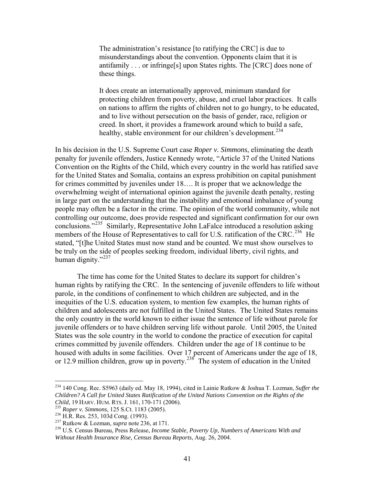The administration's resistance [to ratifying the CRC] is due to misunderstandings about the convention. Opponents claim that it is antifamily . . . or infringe[s] upon States rights. The [CRC] does none of these things.

It does create an internationally approved, minimum standard for protecting children from poverty, abuse, and cruel labor practices. It calls on nations to affirm the rights of children not to go hungry, to be educated, and to live without persecution on the basis of gender, race, religion or creed. In short, it provides a framework around which to build a safe, healthy, stable environment for our children's development.<sup>[234](#page-42-0)</sup>

In his decision in the U.S. Supreme Court case *Roper v. Simmons*, eliminating the death penalty for juvenile offenders, Justice Kennedy wrote, "Article 37 of the United Nations Convention on the Rights of the Child, which every country in the world has ratified save for the United States and Somalia, contains an express prohibition on capital punishment for crimes committed by juveniles under 18…. It is proper that we acknowledge the overwhelming weight of international opinion against the juvenile death penalty, resting in large part on the understanding that the instability and emotional imbalance of young people may often be a factor in the crime. The opinion of the world community, while not controlling our outcome, does provide respected and significant confirmation for our own conclusions."[235](#page-42-1) Similarly, Representative John LaFalce introduced a resolution asking members of the House of Representatives to call for U.S. ratification of the CRC.<sup>[236](#page-42-2)</sup> He stated, "[t]he United States must now stand and be counted. We must show ourselves to be truly on the side of peoples seeking freedom, individual liberty, civil rights, and human dignity."<sup>[237](#page-42-3)</sup>

The time has come for the United States to declare its support for children's human rights by ratifying the CRC. In the sentencing of juvenile offenders to life without parole, in the conditions of confinement to which children are subjected, and in the inequities of the U.S. education system, to mention few examples, the human rights of children and adolescents are not fulfilled in the United States. The United States remains the only country in the world known to either issue the sentence of life without parole for juvenile offenders or to have children serving life without parole. Until 2005, the United States was the sole country in the world to condone the practice of execution for capital crimes committed by juvenile offenders. Children under the age of 18 continue to be housed with adults in some facilities. Over 17 percent of Americans under the age of 18, or 12.9 million children, grow up in poverty.<sup>[238](#page-42-4)</sup> The system of education in the United

<span id="page-42-0"></span><sup>234 140</sup> Cong. Rec. S5963 (daily ed. May 18, 1994), cited in Lainie Rutkow & Joshua T. Lozman, *Suffer the Children? A Call for United States Ratification of the United Nations Convention on the Rights of the* 

<span id="page-42-3"></span><span id="page-42-2"></span>

<span id="page-42-4"></span>

<span id="page-42-1"></span><sup>&</sup>lt;sup>235</sup> Roper v. Simmons, 125 S.Ct. 1183 (2005).<br><sup>236</sup> H.R. Res. 253, 103d Cong. (1993).<br><sup>237</sup> Rutkow & Lozman, *supra* note 236, at 171.<br><sup>238</sup> U.S. Census Bureau, Press Release, *Income Stable, Poverty Up, Numbers of Ameri Without Health Insurance Rise, Census Bureau Reports*, Aug. 26, 2004.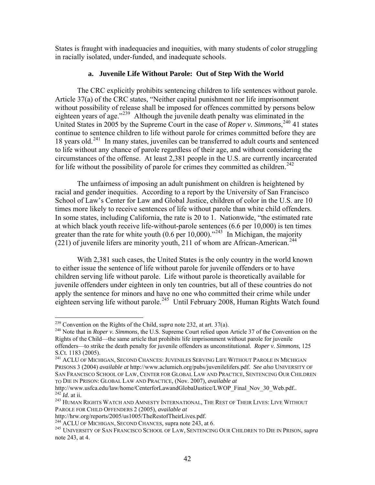<span id="page-43-0"></span>States is fraught with inadequacies and inequities, with many students of color struggling in racially isolated, under-funded, and inadequate schools.

## **a. Juvenile Life Without Parole: Out of Step With the World**

The CRC explicitly prohibits sentencing children to life sentences without parole. Article 37(a) of the CRC states, "Neither capital punishment nor life imprisonment without possibility of release shall be imposed for offences committed by persons below eighteen years of age."[239](#page-43-1) Although the juvenile death penalty was eliminated in the United States in 2005 by the Supreme Court in the case of *Roper v. Simmons*,<sup>[240](#page-43-2)</sup> 41 states continue to sentence children to life without parole for crimes committed before they are 18 years old.[241](#page-43-3) In many states, juveniles can be transferred to adult courts and sentenced to life without any chance of parole regardless of their age, and without considering the circumstances of the offense. At least 2,381 people in the U.S. are currently incarcerated for life without the possibility of parole for crimes they committed as children.<sup>[242](#page-43-4)</sup>

The unfairness of imposing an adult punishment on children is heightened by racial and gender inequities. According to a report by the University of San Francisco School of Law's Center for Law and Global Justice, children of color in the U.S. are 10 times more likely to receive sentences of life without parole than white child offenders. In some states, including California, the rate is 20 to 1. Nationwide, "the estimated rate at which black youth receive life-without-parole sentences (6.6 per 10,000) is ten times greater than the rate for white youth  $(0.6$  per 10,000)."<sup>[243](#page-43-5)</sup> In Michigan, the majority  $(221)$  of juvenile lifers are minority youth, 211 of whom are African-American.<sup>244</sup>

With 2,381 such cases, the United States is the only country in the world known to either issue the sentence of life without parole for juvenile offenders or to have children serving life without parole. Life without parole is theoretically available for juvenile offenders under eighteen in only ten countries, but all of these countries do not apply the sentence for minors and have no one who committed their crime while under eighteen serving life without parole.<sup>[245](#page-43-6)</sup> Until February 2008, Human Rights Watch found

<span id="page-43-1"></span><sup>&</sup>lt;sup>239</sup> Convention on the Rights of the Child, *supra* note 232, at art. 37(a).

<span id="page-43-2"></span><sup>&</sup>lt;sup>240</sup> Note that in *Roper v. Simmons*, the U.S. Supreme Court relied upon Article 37 of the Convention on the Rights of the Child—the same article that prohibits life imprisonment without parole for juvenile offenders—to strike the death penalty for juvenile offenders as unconstitutional. *Roper v. Simmons*, 125 S.Ct. 1183 (2005).

<span id="page-43-3"></span><sup>&</sup>lt;sup>241</sup> ACLU OF MICHIGAN, SECOND CHANCES: JUVENILES SERVING LIFE WITHOUT PAROLE IN MICHIGAN PRISONS 3 (2004) *available at* http://www.aclumich.org/pubs/juvenilelifers.pdf. *See also* UNIVERSITY OF SAN FRANCISCO SCHOOL OF LAW, CENTER FOR GLOBAL LAW AND PRACTICE, SENTENCING OUR CHILDREN TO DIE IN PRISON: GLOBAL LAW AND PRACTICE, (Nov. 2007), *available at*

http://www.usfca.edu/law/home/CenterforLawandGlobalJustice/LWOP\_Final\_Nov\_30\_Web.pdf..<br><sup>242</sup> Id. at ii.

<span id="page-43-5"></span><span id="page-43-4"></span><sup>&</sup>lt;sup>243</sup> HUMAN RIGHTS WATCH AND AMNESTY INTERNATIONAL, THE REST OF THEIR LIVES: LIVE WITHOUT PAROLE FOR CHILD OFFENDERS 2 (2005), *available at*

<span id="page-43-6"></span>

http://hrw.org/reports/2005/us1005/TheRestofTheirLives.pdf. 244 ACLU OF MICHIGAN, SECOND CHANCES, supra note 243, at 6. 245 UNIVERSITY OF SAN FRANCISCO SCHOOL OF LAW, SENTENCING OUR CHILDREN TO DIE IN PRISON, *supra* note 243, at 4.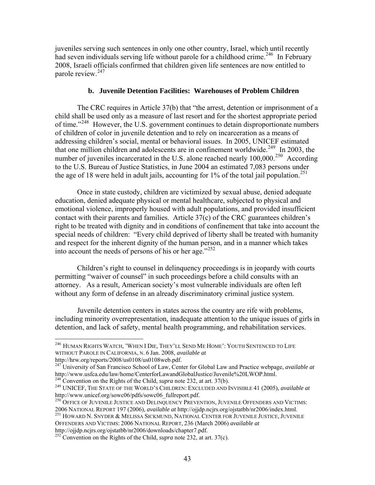<span id="page-44-0"></span>juveniles serving such sentences in only one other country, Israel, which until recently had seven individuals serving life without parole for a childhood crime.<sup>[246](#page-44-1)</sup> In February 2008, Israeli officials confirmed that children given life sentences are now entitled to parole review.<sup>[247](#page-44-2)</sup>

#### **b. Juvenile Detention Facilities: Warehouses of Problem Children**

The CRC requires in Article 37(b) that "the arrest, detention or imprisonment of a child shall be used only as a measure of last resort and for the shortest appropriate period of time."<sup>[248](#page-44-3)</sup> However, the U.S. government continues to detain disproportionate numbers of children of color in juvenile detention and to rely on incarceration as a means of addressing children's social, mental or behavioral issues. In 2005, UNICEF estimated that one million children and adolescents are in confinement worldwide.<sup>[249](#page-44-4)</sup> In 2003, the number of juveniles incarcerated in the U.S. alone reached nearly  $100,000$ <sup>[250](#page-44-5)</sup> According to the U.S. Bureau of Justice Statistics, in June 2004 an estimated 7,083 persons under the age of 18 were held in adult jails, accounting for 1% of the total jail population.<sup>[251](#page-44-6)</sup>

Once in state custody, children are victimized by sexual abuse, denied adequate education, denied adequate physical or mental healthcare, subjected to physical and emotional violence, improperly housed with adult populations, and provided insufficient contact with their parents and families. Article 37(c) of the CRC guarantees children's right to be treated with dignity and in conditions of confinement that take into account the special needs of children: "Every child deprived of liberty shall be treated with humanity and respect for the inherent dignity of the human person, and in a manner which takes into account the needs of persons of his or her age."<sup>[252](#page-44-7)</sup>

Children's right to counsel in delinquency proceedings is in jeopardy with courts permitting "waiver of counsel" in such proceedings before a child consults with an attorney. As a result, American society's most vulnerable individuals are often left without any form of defense in an already discriminatory criminal justice system.

Juvenile detention centers in states across the country are rife with problems, including minority overrepresentation, inadequate attention to the unique issues of girls in detention, and lack of safety, mental health programming, and rehabilitation services.

<span id="page-44-1"></span><sup>246</sup> HUMAN RIGHTS WATCH, 'WHEN I DIE, THEY'LL SEND ME HOME': YOUTH SENTENCED TO LIFE WITHOUT PAROLE IN CALIFORNIA, N. 6 Jan. 2008, *available at*

http://hrw.org/reports/2008/us0108/us0108web.pdf.

<span id="page-44-2"></span><sup>&</sup>lt;sup>247</sup> University of San Francisco School of Law, Center for Global Law and Practice webpage, *available at* http://www.usfca.edu/law/home/CenterforLawandGlobalJustice/Juvenile%20LWOP.html.

<span id="page-44-4"></span><span id="page-44-3"></span><sup>&</sup>lt;sup>248</sup> Convention on the Rights of the Child, *supra* note 232, at art. 37(b).<br><sup>249</sup> UNICEF, THE STATE OF THE WORLD'S CHILDREN: EXCLUDED AND INVISIBLE 41 (2005), *available at* http://www.unicef.org/sowc06/pdfs/sowc06 full

<span id="page-44-5"></span><sup>&</sup>lt;sup>250</sup> OFFICE OF JUVENILE JUSTICE AND DELINQUENCY PREVENTION, JUVENILE OFFENDERS AND VICTIMS:<br>2006 NATIONAL REPORT 197 (2006), *available at http://ojjdp.ncjrs.org/ojstatbb/nr2006/index.html*.

<span id="page-44-6"></span><sup>2006</sup> NATIONAL REPORT 197 (2006), available at http://oj.nc/<br><sup>251</sup> HOWARD N. SNYDER & MELISSA SICKMUND, NATIONAL CENTER FOR JUVENILE JUSTICE, JUVENILE OFFENDERS AND VICTIMS: 2006 NATIONAL REPORT, 236 (March 2006) *available at* http://ojjdp.ncjrs.org/ojstatbb/nr2006/downloads/chapter7.pdf.

<span id="page-44-7"></span><sup>252</sup> Convention on the Rights of the Child, *supra* note 232, at art. 37(c).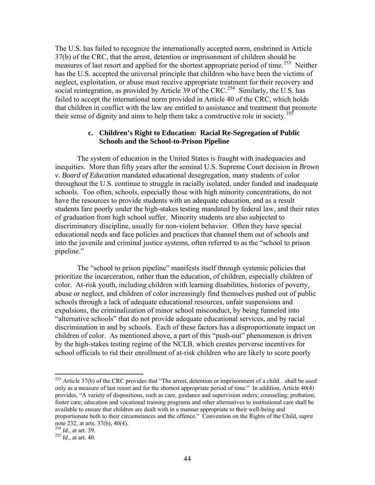<span id="page-45-0"></span>The U.S. has failed to recognize the internationally accepted norm, enshrined in Article 37(b) of the CRC, that the arrest, detention or imprisonment of children should be measures of last resort and applied for the shortest appropriate period of time.<sup>[253](#page-45-1)</sup> Neither has the U.S. accepted the universal principle that children who have been the victims of neglect, exploitation, or abuse must receive appropriate treatment for their recovery and social reintegration, as provided by Article 39 of the CRC.<sup>[254](#page-45-2)</sup> Similarly, the U.S. has failed to accept the international norm provided in Article 40 of the CRC, which holds that children in conflict with the law are entitled to assistance and treatment that promote their sense of dignity and aims to help them take a constructive role in society.<sup>[255](#page-45-3)</sup>

#### **c. Children's Right to Education: Racial Re-Segregation of Public Schools and the School-to-Prison Pipeline**

The system of education in the United States is fraught with inadequacies and inequities. More than fifty years after the seminal U.S. Supreme Court decision in *Brown v. Board of Education* mandated educational desegregation, many students of color throughout the U.S. continue to struggle in racially isolated, under funded and inadequate schools. Too often, schools, especially those with high minority concentrations, do not have the resources to provide students with an adequate education, and as a result students fare poorly under the high-stakes testing mandated by federal law, and their rates of graduation from high school suffer. Minority students are also subjected to discriminatory discipline, usually for non-violent behavior. Often they have special educational needs and face policies and practices that channel them out of schools and into the juvenile and criminal justice systems, often referred to as the "school to prison pipeline."

The "school to prison pipeline" manifests itself through systemic policies that prioritize the incarceration, rather than the education, of children, especially children of color. At-risk youth, including children with learning disabilities, histories of poverty, abuse or neglect, and children of color increasingly find themselves pushed out of public schools through a lack of adequate educational resources, unfair suspensions and expulsions, the criminalization of minor school misconduct, by being funneled into "alternative schools" that do not provide adequate educational services, and by racial discrimination in and by schools. Each of these factors has a disproportionate impact on children of color. As mentioned above, a part of this "push-out" phenomenon is driven by the high-stakes testing regime of the NCLB, which creates perverse incentives for school officials to rid their enrollment of at-risk children who are likely to score poorly

<span id="page-45-1"></span><sup>&</sup>lt;sup>253</sup> Article 37(b) of the CRC provides that "The arrest, detention or imprisonment of a child…shall be used only as a measure of last resort and for the shortest appropriate period of time." In addition, Article 40(4) provides, "A variety of dispositions, such as care, guidance and supervision orders; counseling; probation; foster care; education and vocational training programs and other alternatives to institutional care shall be available to ensure that children are dealt with in a manner appropriate to their well-being and proportionate both to their circumstances and the offence." Convention on the Rights of the Child, *supra* note 232, at arts. 37(b), 40(4).

<span id="page-45-3"></span><span id="page-45-2"></span><sup>254</sup> *Id.*, at art. 39. 255 *Id.*, at art. 40.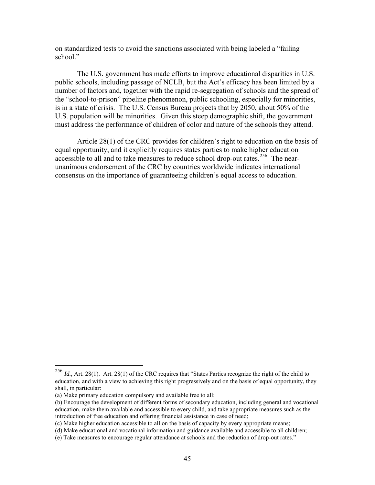on standardized tests to avoid the sanctions associated with being labeled a "failing school."

The U.S. government has made efforts to improve educational disparities in U.S. public schools, including passage of NCLB, but the Act's efficacy has been limited by a number of factors and, together with the rapid re-segregation of schools and the spread of the "school-to-prison" pipeline phenomenon, public schooling, especially for minorities, is in a state of crisis. The U.S. Census Bureau projects that by 2050, about 50% of the U.S. population will be minorities. Given this steep demographic shift, the government must address the performance of children of color and nature of the schools they attend.

Article 28(1) of the CRC provides for children's right to education on the basis of equal opportunity, and it explicitly requires states parties to make higher education accessible to all and to take measures to reduce school drop-out rates.<sup>[256](#page-46-0)</sup> The nearunanimous endorsement of the CRC by countries worldwide indicates international consensus on the importance of guaranteeing children's equal access to education.

<u>.</u>

<span id="page-46-0"></span><sup>256</sup> *Id.*, Art. 28(1). Art. 28(1) of the CRC requires that "States Parties recognize the right of the child to education, and with a view to achieving this right progressively and on the basis of equal opportunity, they shall, in particular:

<sup>(</sup>a) Make primary education compulsory and available free to all;

<sup>(</sup>b) Encourage the development of different forms of secondary education, including general and vocational education, make them available and accessible to every child, and take appropriate measures such as the introduction of free education and offering financial assistance in case of need;

<sup>(</sup>c) Make higher education accessible to all on the basis of capacity by every appropriate means;

<sup>(</sup>d) Make educational and vocational information and guidance available and accessible to all children;

<sup>(</sup>e) Take measures to encourage regular attendance at schools and the reduction of drop-out rates."